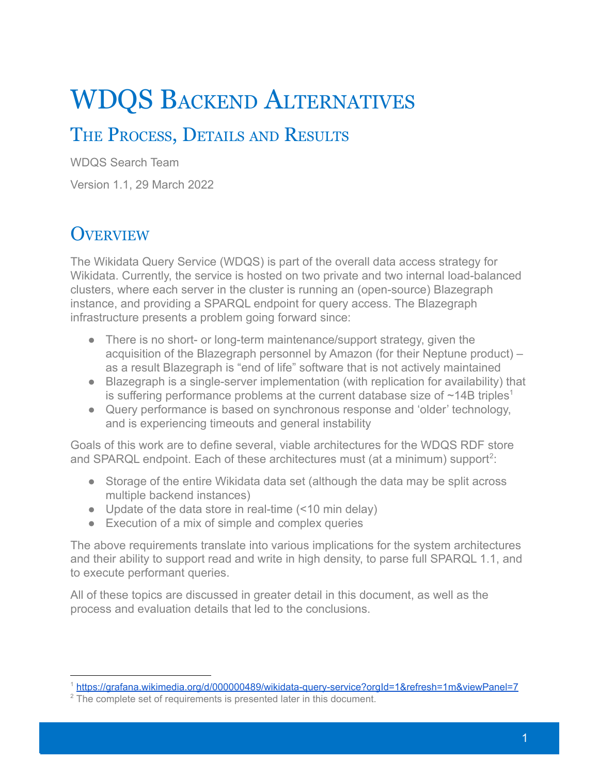# WDQS BACKEND ALTERNATIVES

# THE PROCESS, DETAILS AND RESULTS

WDQS Search Team

Version 1.1, 29 March 2022

### **OVERVIEW**

The Wikidata Query Service (WDQS) is part of the overall data access strategy for Wikidata. Currently, the service is hosted on two private and two internal load-balanced clusters, where each server in the cluster is running an (open-source) Blazegraph instance, and providing a SPARQL endpoint for query access. The Blazegraph infrastructure presents a problem going forward since:

- There is no short- or long-term maintenance/support strategy, given the acquisition of the Blazegraph personnel by Amazon (for their Neptune product) – as a result Blazegraph is "end of life" software that is not actively maintained
- Blazegraph is a single-server implementation (with replication for availability) that is suffering performance problems at the current database size of  $\sim$ 14B triples<sup>1</sup>
- Query performance is based on synchronous response and 'older' technology, and is experiencing timeouts and general instability

Goals of this work are to define several, viable architectures for the WDQS RDF store and SPARQL endpoint. Each of these architectures must (at a minimum) support<sup>2</sup>:

- Storage of the entire Wikidata data set (although the data may be split across multiple backend instances)
- Update of the data store in real-time (<10 min delay)
- Execution of a mix of simple and complex queries

The above requirements translate into various implications for the system architectures and their ability to support read and write in high density, to parse full SPARQL 1.1, and to execute performant queries.

All of these topics are discussed in greater detail in this document, as well as the process and evaluation details that led to the conclusions.

<sup>1</sup> <https://grafana.wikimedia.org/d/000000489/wikidata-query-service?orgId=1&refresh=1m&viewPanel=7>

<sup>&</sup>lt;sup>2</sup> The complete set of requirements is presented later in this document.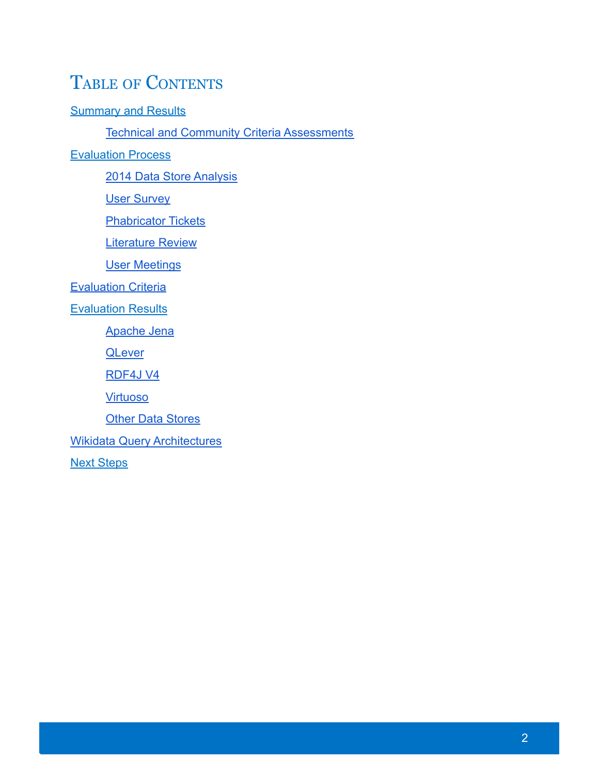# TABLE OF CONTENTS

**[Summary and Results](#page-2-0)** 

**[Technical and Community Criteria Assessments](#page-2-1)** 

**[Evaluation Process](#page-5-0)** 

[2014 Data Store Analysis](#page-5-1)

[User Survey](#page-8-0)

[Phabricator Tickets](#page-9-0)

[Literature Review](#page-9-1)

[User Meetings](#page-10-0)

**[Evaluation Criteria](#page-11-0)** 

**[Evaluation Results](#page-14-0)** 

[Apache Jena](#page-14-1)

**[QLever](#page-18-0)** 

[RDF4J V4](#page-22-0)

[Virtuoso](#page-27-0)

**[Other Data Stores](#page-34-0)** 

[Wikidata Query Architectures](#page-35-0)

[Next Steps](#page-36-0)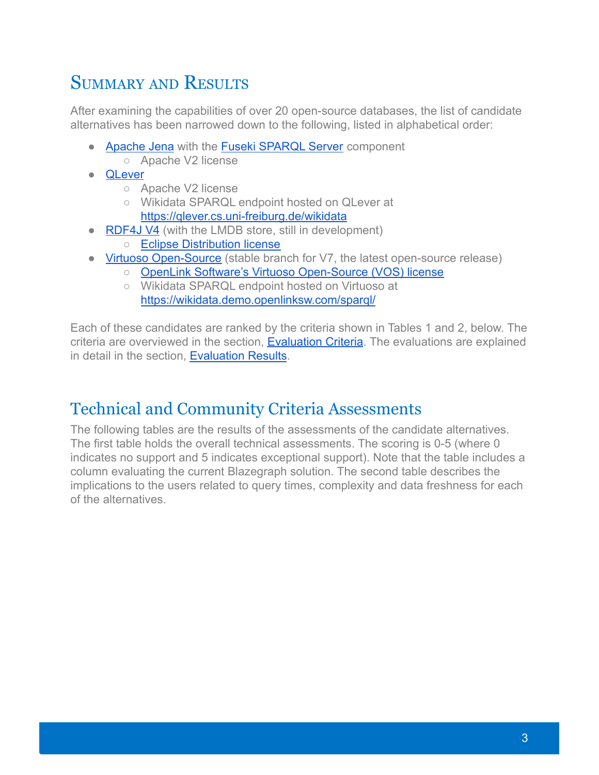# <span id="page-2-0"></span>SUMMARY AND RESULTS

After examining the capabilities of over 20 open-source databases, the list of candidate alternatives has been narrowed down to the following, listed in alphabetical order:

- [Apache Jena](https://github.com/apache/jena) with the [Fuseki SPARQL Server](https://github.com/apache/jena/tree/main/jena-fuseki2) component ○ Apache V2 license
- [QLever](https://github.com/ad-freiburg/qlever)
	- Apache V2 license
	- Wikidata SPARQL endpoint hosted on QLever at <https://qlever.cs.uni-freiburg.de/wikidata>
- **[RDF4J V4](https://github.com/eclipse/rdf4j/tree/develop)** (with the LMDB store, still in development)
	- [Eclipse Distribution license](https://github.com/eclipse/%20rdf4j/blob/main/LICENSE)
- [Virtuoso Open-Source](https://github.com/openlink/virtuoso-opensource) (stable branch for V7, the latest open-source release)
	- [OpenLink Software's Virtuoso Open-Source \(VOS\) license](https://github.com/openlink/virtuoso-opensource/blob/develop/7/LICENSE.md)
	- Wikidata SPARQL endpoint hosted on Virtuoso at <https://wikidata.demo.openlinksw.com/sparql/>

Each of these candidates are ranked by the criteria shown in Tables 1 and 2, below. The criteria are overviewed in the section, [Evaluation](#page-11-0) Criteria. The evaluations are explained in detail in the section, [Evaluation Results](#page-14-0).

### <span id="page-2-1"></span>Technical and Community Criteria Assessments

The following tables are the results of the assessments of the candidate alternatives. The first table holds the overall technical assessments. The scoring is 0-5 (where 0 indicates no support and 5 indicates exceptional support). Note that the table includes a column evaluating the current Blazegraph solution. The second table describes the implications to the users related to query times, complexity and data freshness for each of the alternatives.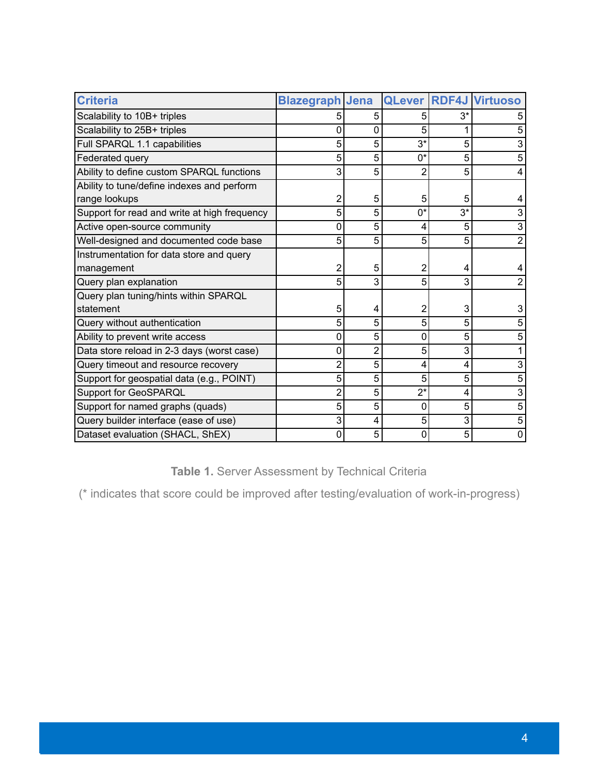| <b>Criteria</b>                              | <b>Blazegraph Jena</b> |   |       |       | <b>QLever RDF4J Virtuoso</b> |
|----------------------------------------------|------------------------|---|-------|-------|------------------------------|
| Scalability to 10B+ triples                  |                        | 5 |       | 3*    |                              |
| Scalability to 25B+ triples                  | 0                      | 0 | 5     |       |                              |
| Full SPARQL 1.1 capabilities                 | 5                      | 5 | $3^*$ | 5     |                              |
| Federated query                              | 5                      | 5 | $0^*$ | 5     |                              |
| Ability to define custom SPARQL functions    | 3                      | 5 | 2     | 5     | 4                            |
| Ability to tune/define indexes and perform   |                        |   |       |       |                              |
| range lookups                                | 2                      | 5 | 5     | 5     |                              |
| Support for read and write at high frequency | 5                      | 5 | $0^*$ | $3^*$ |                              |
| Active open-source community                 | 0                      | 5 | 4     | 5     | 3                            |
| Well-designed and documented code base       | 5                      | 5 | 5     | 5     | 2                            |
| Instrumentation for data store and query     |                        |   |       |       |                              |
| management                                   | 2                      | 5 | 2     |       |                              |
| Query plan explanation                       | 5                      | 3 | 5     | 3     |                              |
| Query plan tuning/hints within SPARQL        |                        |   |       |       |                              |
| statement                                    | 5                      | 4 | 2     | 3     |                              |
| Query without authentication                 | 5                      | 5 | 5     | 5     |                              |
| Ability to prevent write access              | 0                      | 5 | 0     | 5     |                              |
| Data store reload in 2-3 days (worst case)   | 0                      | 2 | 5     | 3     |                              |
| Query timeout and resource recovery          | 2                      | 5 | 4     | 4     |                              |
| Support for geospatial data (e.g., POINT)    | 5                      | 5 | 5     | 5     | 5                            |
| Support for GeoSPARQL                        | 2                      | 5 | $2^*$ | 4     | 3                            |
| Support for named graphs (quads)             | 5                      | 5 | 0     | 5     | 5                            |
| Query builder interface (ease of use)        | 3                      | 4 | 5     | 3     | 5                            |
| Dataset evaluation (SHACL, ShEX)             | 0                      | 5 | 0     | 5     | 0                            |

**Table 1.** Server Assessment by Technical Criteria

(\* indicates that score could be improved after testing/evaluation of work-in-progress)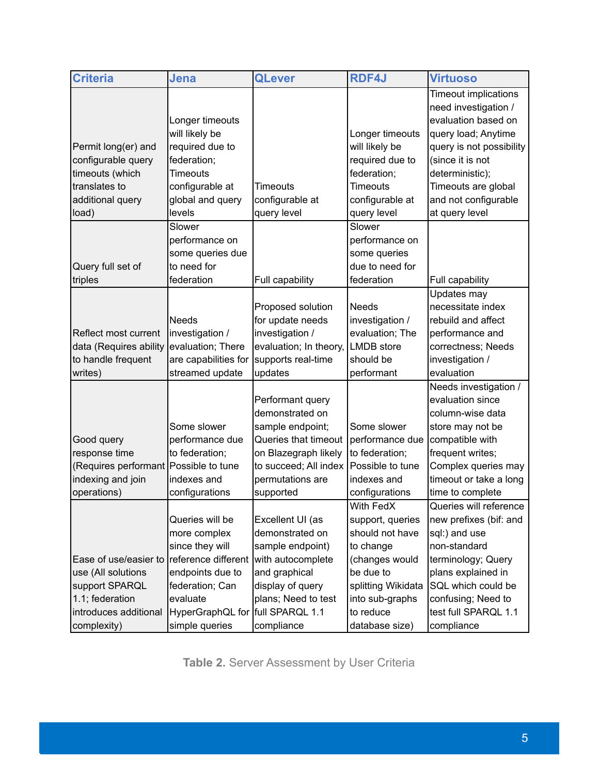| <b>Criteria</b>                       | Jena                             | <b>QLever</b>          | <b>RDF4J</b>       | <b>Virtuoso</b>             |
|---------------------------------------|----------------------------------|------------------------|--------------------|-----------------------------|
|                                       |                                  |                        |                    | <b>Timeout implications</b> |
|                                       |                                  |                        |                    | need investigation /        |
|                                       | Longer timeouts                  |                        |                    | evaluation based on         |
|                                       | will likely be                   |                        | Longer timeouts    | query load; Anytime         |
| Permit long(er) and                   | required due to                  |                        | will likely be     | query is not possibility    |
| configurable query                    | federation;                      |                        | required due to    | (since it is not            |
| timeouts (which                       | <b>Timeouts</b>                  |                        | federation;        | deterministic);             |
| translates to                         | configurable at                  | <b>Timeouts</b>        | <b>Timeouts</b>    | Timeouts are global         |
| additional query                      | global and query                 | configurable at        | configurable at    | and not configurable        |
| load)                                 | levels                           | query level            | query level        | at query level              |
|                                       | Slower                           |                        | Slower             |                             |
|                                       | performance on                   |                        | performance on     |                             |
|                                       | some queries due                 |                        | some queries       |                             |
| Query full set of                     | to need for                      |                        | due to need for    |                             |
| triples                               | federation                       | Full capability        | federation         | Full capability             |
|                                       |                                  |                        |                    | Updates may                 |
|                                       |                                  | Proposed solution      | <b>Needs</b>       | necessitate index           |
|                                       | <b>Needs</b>                     | for update needs       | investigation /    | rebuild and affect          |
| Reflect most current                  | Investigation /                  | investigation /        | evaluation; The    | performance and             |
| data (Requires ability                | evaluation; There                | evaluation; In theory, | <b>LMDB</b> store  | correctness; Needs          |
| to handle frequent                    | are capabilities for             | supports real-time     | should be          | investigation /             |
| writes)                               | streamed update                  | updates                | performant         | evaluation                  |
|                                       |                                  |                        |                    | Needs investigation /       |
|                                       |                                  | Performant query       |                    | evaluation since            |
|                                       |                                  | demonstrated on        |                    | column-wise data            |
|                                       | Some slower                      | sample endpoint;       | Some slower        | store may not be            |
| Good query                            | performance due                  | Queries that timeout   | performance due    | compatible with             |
| response time                         | to federation;                   | on Blazegraph likely   | to federation;     | frequent writes;            |
| (Requires performant Possible to tune |                                  | to succeed; All index  | Possible to tune   | Complex queries may         |
| indexing and join                     | indexes and                      | permutations are       | indexes and        | timeout or take a long      |
| operations)                           | configurations                   | supported              | configurations     | time to complete            |
|                                       |                                  |                        | With FedX          | Queries will reference      |
|                                       | Queries will be                  | Excellent UI (as       | support, queries   | new prefixes (bif: and      |
|                                       | more complex                     | demonstrated on        | should not have    | sql:) and use               |
|                                       | since they will                  | sample endpoint)       | to change          | non-standard                |
| Ease of use/easier to                 | reference different              | with autocomplete      | (changes would     | terminology; Query          |
| use (All solutions                    | endpoints due to                 | and graphical          | be due to          | plans explained in          |
| support SPARQL                        | federation; Can                  | display of query       | splitting Wikidata | SQL which could be          |
| 1.1; federation                       | evaluate                         | plans; Need to test    | into sub-graphs    | confusing; Need to          |
| introduces additional                 | HyperGraphQL for full SPARQL 1.1 |                        | to reduce          | test full SPARQL 1.1        |
| complexity)                           | simple queries                   | compliance             | database size)     | compliance                  |

**Table 2.** Server Assessment by User Criteria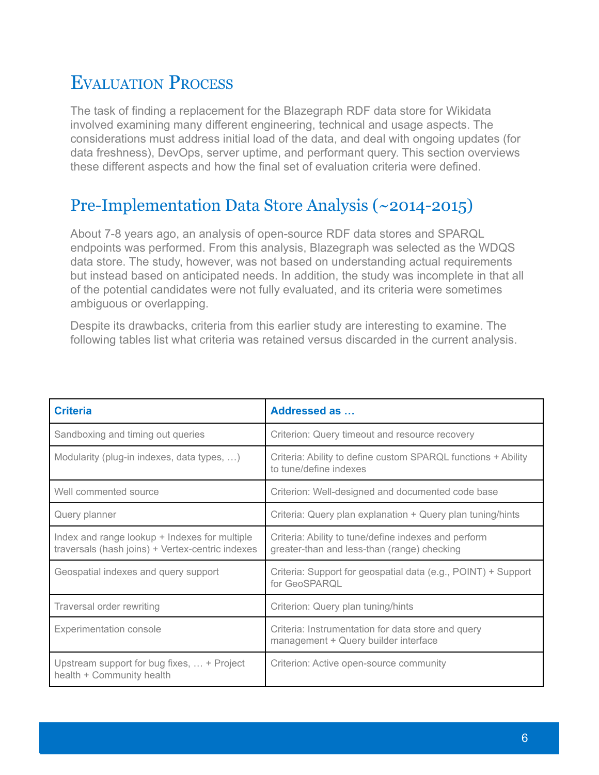# <span id="page-5-0"></span>EVALUATION PROCESS

The task of finding a replacement for the Blazegraph RDF data store for Wikidata involved examining many different engineering, technical and usage aspects. The considerations must address initial load of the data, and deal with ongoing updates (for data freshness), DevOps, server uptime, and performant query. This section overviews these different aspects and how the final set of evaluation criteria were defined.

#### <span id="page-5-1"></span>Pre-Implementation Data Store Analysis (~2014-2015)

About 7-8 years ago, an analysis of open-source RDF data stores and SPARQL endpoints was performed. From this analysis, Blazegraph was selected as the WDQS data store. The study, however, was not based on understanding actual requirements but instead based on anticipated needs. In addition, the study was incomplete in that all of the potential candidates were not fully evaluated, and its criteria were sometimes ambiguous or overlapping.

Despite its drawbacks, criteria from this earlier study are interesting to examine. The following tables list what criteria was retained versus discarded in the current analysis.

| <b>Criteria</b>                                                                                   | Addressed as                                                                                        |
|---------------------------------------------------------------------------------------------------|-----------------------------------------------------------------------------------------------------|
| Sandboxing and timing out queries                                                                 | Criterion: Query timeout and resource recovery                                                      |
| Modularity (plug-in indexes, data types, )                                                        | Criteria: Ability to define custom SPARQL functions + Ability<br>to tune/define indexes             |
| Well commented source                                                                             | Criterion: Well-designed and documented code base                                                   |
| Query planner                                                                                     | Criteria: Query plan explanation + Query plan tuning/hints                                          |
| Index and range lookup + Indexes for multiple<br>traversals (hash joins) + Vertex-centric indexes | Criteria: Ability to tune/define indexes and perform<br>greater-than and less-than (range) checking |
| Geospatial indexes and query support                                                              | Criteria: Support for geospatial data (e.g., POINT) + Support<br>for GeoSPAROL                      |
| Traversal order rewriting                                                                         | Criterion: Query plan tuning/hints                                                                  |
| <b>Experimentation console</b>                                                                    | Criteria: Instrumentation for data store and query<br>management + Query builder interface          |
| Upstream support for bug fixes,  + Project<br>health + Community health                           | Criterion: Active open-source community                                                             |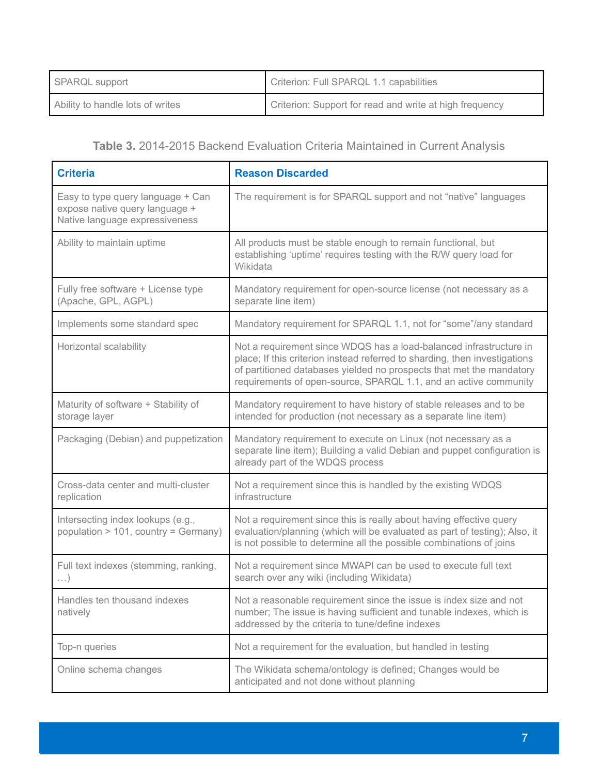| SPARQL support                   | Criterion: Full SPARQL 1.1 capabilities                 |
|----------------------------------|---------------------------------------------------------|
| Ability to handle lots of writes | Criterion: Support for read and write at high frequency |

#### **Table 3.** 2014-2015 Backend Evaluation Criteria Maintained in Current Analysis

| <b>Criteria</b>                                                                                       | <b>Reason Discarded</b>                                                                                                                                                                                                                                                                      |
|-------------------------------------------------------------------------------------------------------|----------------------------------------------------------------------------------------------------------------------------------------------------------------------------------------------------------------------------------------------------------------------------------------------|
| Easy to type query language + Can<br>expose native query language +<br>Native language expressiveness | The requirement is for SPARQL support and not "native" languages                                                                                                                                                                                                                             |
| Ability to maintain uptime                                                                            | All products must be stable enough to remain functional, but<br>establishing 'uptime' requires testing with the R/W query load for<br>Wikidata                                                                                                                                               |
| Fully free software + License type<br>(Apache, GPL, AGPL)                                             | Mandatory requirement for open-source license (not necessary as a<br>separate line item)                                                                                                                                                                                                     |
| Implements some standard spec                                                                         | Mandatory requirement for SPARQL 1.1, not for "some"/any standard                                                                                                                                                                                                                            |
| Horizontal scalability                                                                                | Not a requirement since WDQS has a load-balanced infrastructure in<br>place; If this criterion instead referred to sharding, then investigations<br>of partitioned databases yielded no prospects that met the mandatory<br>requirements of open-source, SPARQL 1.1, and an active community |
| Maturity of software + Stability of<br>storage layer                                                  | Mandatory requirement to have history of stable releases and to be<br>intended for production (not necessary as a separate line item)                                                                                                                                                        |
| Packaging (Debian) and puppetization                                                                  | Mandatory requirement to execute on Linux (not necessary as a<br>separate line item); Building a valid Debian and puppet configuration is<br>already part of the WDQS process                                                                                                                |
| Cross-data center and multi-cluster<br>replication                                                    | Not a requirement since this is handled by the existing WDQS<br>infrastructure                                                                                                                                                                                                               |
| Intersecting index lookups (e.g.,<br>population > 101, country = Germany)                             | Not a requirement since this is really about having effective query<br>evaluation/planning (which will be evaluated as part of testing); Also, it<br>is not possible to determine all the possible combinations of joins                                                                     |
| Full text indexes (stemming, ranking,<br>$\ldots$                                                     | Not a requirement since MWAPI can be used to execute full text<br>search over any wiki (including Wikidata)                                                                                                                                                                                  |
| Handles ten thousand indexes<br>natively                                                              | Not a reasonable requirement since the issue is index size and not<br>number; The issue is having sufficient and tunable indexes, which is<br>addressed by the criteria to tune/define indexes                                                                                               |
| Top-n queries                                                                                         | Not a requirement for the evaluation, but handled in testing                                                                                                                                                                                                                                 |
| Online schema changes                                                                                 | The Wikidata schema/ontology is defined; Changes would be<br>anticipated and not done without planning                                                                                                                                                                                       |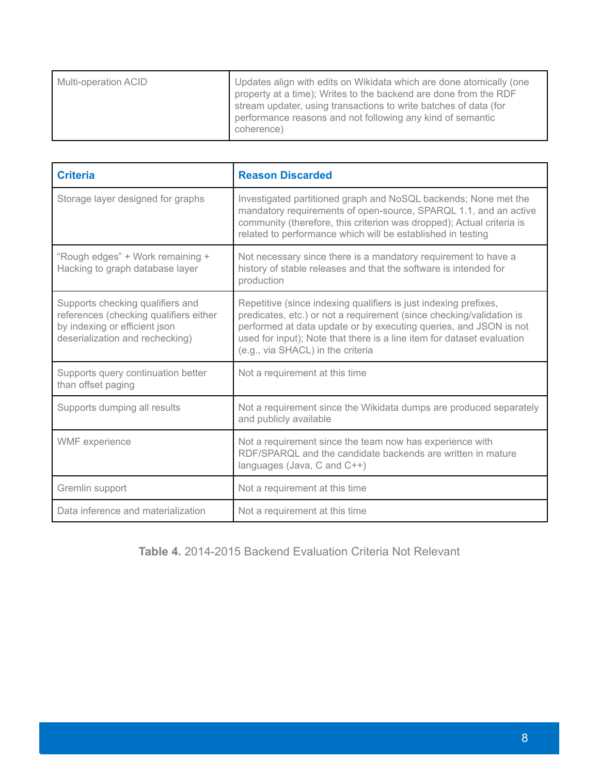| Multi-operation ACID | Updates align with edits on Wikidata which are done atomically (one<br>property at a time); Writes to the backend are done from the RDF<br>stream updater, using transactions to write batches of data (for<br>performance reasons and not following any kind of semantic<br>coherence) |
|----------------------|-----------------------------------------------------------------------------------------------------------------------------------------------------------------------------------------------------------------------------------------------------------------------------------------|
|                      |                                                                                                                                                                                                                                                                                         |

| <b>Criteria</b>                                                                                                                                | <b>Reason Discarded</b>                                                                                                                                                                                                                                                                                                      |
|------------------------------------------------------------------------------------------------------------------------------------------------|------------------------------------------------------------------------------------------------------------------------------------------------------------------------------------------------------------------------------------------------------------------------------------------------------------------------------|
| Storage layer designed for graphs                                                                                                              | Investigated partitioned graph and NoSQL backends; None met the<br>mandatory requirements of open-source, SPARQL 1.1, and an active<br>community (therefore, this criterion was dropped); Actual criteria is<br>related to performance which will be established in testing                                                  |
| "Rough edges" + Work remaining +<br>Hacking to graph database layer                                                                            | Not necessary since there is a mandatory requirement to have a<br>history of stable releases and that the software is intended for<br>production                                                                                                                                                                             |
| Supports checking qualifiers and<br>references (checking qualifiers either<br>by indexing or efficient json<br>deserialization and rechecking) | Repetitive (since indexing qualifiers is just indexing prefixes,<br>predicates, etc.) or not a requirement (since checking/validation is<br>performed at data update or by executing queries, and JSON is not<br>used for input); Note that there is a line item for dataset evaluation<br>(e.g., via SHACL) in the criteria |
| Supports query continuation better<br>than offset paging                                                                                       | Not a requirement at this time                                                                                                                                                                                                                                                                                               |
| Supports dumping all results                                                                                                                   | Not a requirement since the Wikidata dumps are produced separately<br>and publicly available                                                                                                                                                                                                                                 |
| WMF experience                                                                                                                                 | Not a requirement since the team now has experience with<br>RDF/SPARQL and the candidate backends are written in mature<br>languages (Java, C and C++)                                                                                                                                                                       |
| Gremlin support                                                                                                                                | Not a requirement at this time                                                                                                                                                                                                                                                                                               |
| Data inference and materialization                                                                                                             | Not a requirement at this time                                                                                                                                                                                                                                                                                               |

**Table 4.** 2014-2015 Backend Evaluation Criteria Not Relevant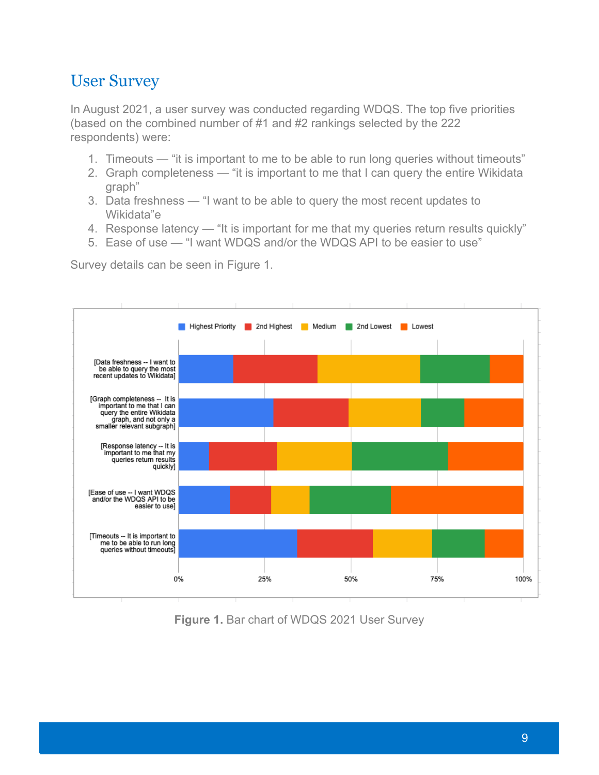#### <span id="page-8-0"></span>User Survey

In August 2021, a user survey was conducted regarding WDQS. The top five priorities (based on the combined number of #1 and #2 rankings selected by the 222 respondents) were:

- 1. Timeouts "it is important to me to be able to run long queries without timeouts"
- 2. Graph completeness "it is important to me that I can query the entire Wikidata graph"
- 3. Data freshness "I want to be able to query the most recent updates to Wikidata"e
- 4. Response latency "It is important for me that my queries return results quickly"
- 5. Ease of use "I want WDQS and/or the WDQS API to be easier to use"

Survey details can be seen in Figure 1.



**Figure 1.** Bar chart of WDQS 2021 User Survey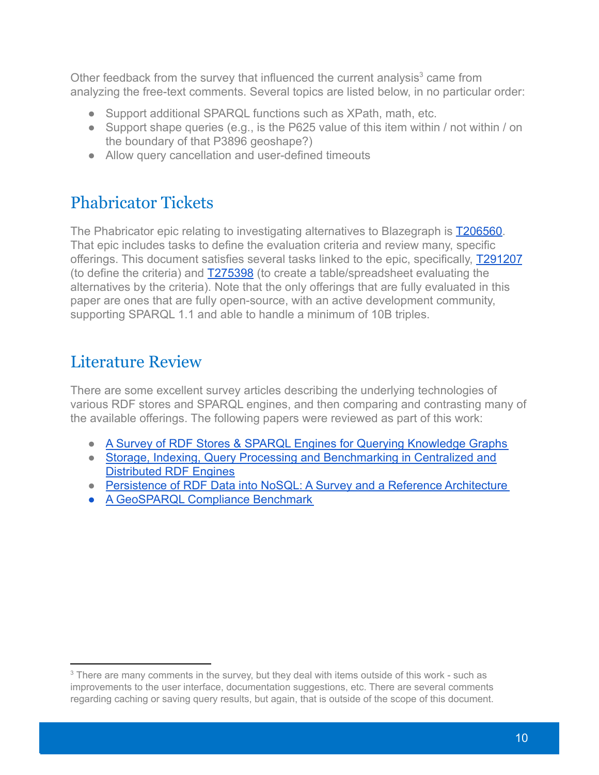Other feedback from the survey that influenced the current analysis $3$  came from analyzing the free-text comments. Several topics are listed below, in no particular order:

- Support additional SPARQL functions such as XPath, math, etc.
- Support shape queries (e.g., is the P625 value of this item within / not within / on the boundary of that P3896 geoshape?)
- Allow query cancellation and user-defined timeouts

# <span id="page-9-0"></span>Phabricator Tickets

The Phabricator epic relating to investigating alternatives to Blazegraph is **T206560**. That epic includes tasks to define the evaluation criteria and review many, specific offerings. This document satisfies several tasks linked to the epic, specifically, [T291207](https://phabricator.wikimedia.org/T291207) (to define the criteria) and [T275398](https://phabricator.wikimedia.org/T275398) (to create a table/spreadsheet evaluating the alternatives by the criteria). Note that the only offerings that are fully evaluated in this paper are ones that are fully open-source, with an active development community, supporting SPARQL 1.1 and able to handle a minimum of 10B triples.

#### <span id="page-9-1"></span>Literature Review

There are some excellent survey articles describing the underlying technologies of various RDF stores and SPARQL engines, and then comparing and contrasting many of the available offerings. The following papers were reviewed as part of this work:

- [A Survey of RDF Stores & SPARQL Engines for Querying Knowledge Graphs](https://arxiv.org/pdf/2102.13027.pdf)
- [Storage, Indexing, Query Processing and Benchmarking in Centralized and](https://www.preprints.org/manuscript/202005.0360/v3) [Distributed RDF Engines](https://www.preprints.org/manuscript/202005.0360/v3)
- [Persistence of RDF Data into NoSQL: A Survey and a Reference Architecture](https://ieeexplore.ieee.org/document/9093172)
- [A GeoSPARQL Compliance Benchmark](https://arxiv.org/pdf/2102.06139.pdf)

<sup>&</sup>lt;sup>3</sup> There are many comments in the survey, but they deal with items outside of this work - such as improvements to the user interface, documentation suggestions, etc. There are several comments regarding caching or saving query results, but again, that is outside of the scope of this document.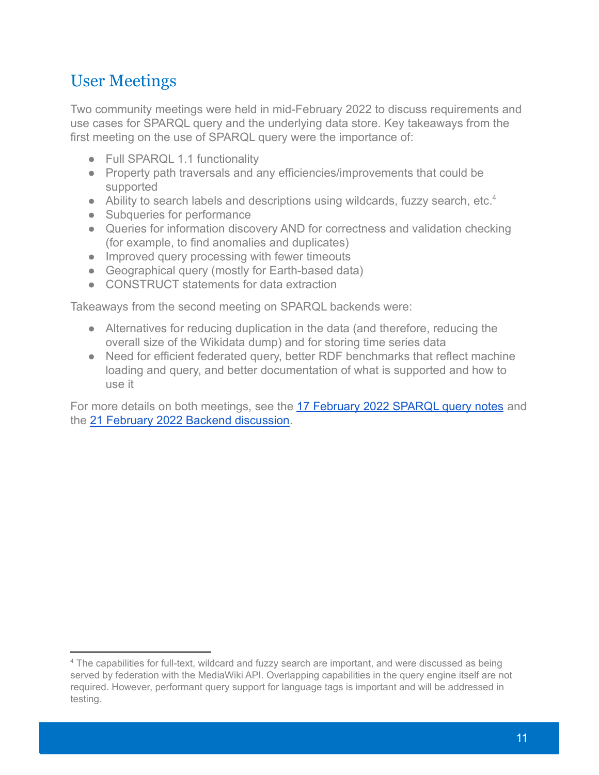### <span id="page-10-0"></span>User Meetings

Two community meetings were held in mid-February 2022 to discuss requirements and use cases for SPARQL query and the underlying data store. Key takeaways from the first meeting on the use of SPARQL query were the importance of:

- Full SPARQL 1.1 functionality
- Property path traversals and any efficiencies/improvements that could be supported
- Ability to search labels and descriptions using wildcards, fuzzy search, etc.<sup>4</sup>
- Subqueries for performance
- Queries for information discovery AND for correctness and validation checking (for example, to find anomalies and duplicates)
- Improved query processing with fewer timeouts
- Geographical query (mostly for Earth-based data)
- CONSTRUCT statements for data extraction

Takeaways from the second meeting on SPARQL backends were:

- Alternatives for reducing duplication in the data (and therefore, reducing the overall size of the Wikidata dump) and for storing time series data
- Need for efficient federated query, better RDF benchmarks that reflect machine loading and query, and better documentation of what is supported and how to use it

For more details on both meetings, see the 17 February [2022 SPARQL query notes](https://etherpad.wikimedia.org/p/R5n382Ld0Vvykc7Ak3iH) and the [21 February 2022 Backend discussion](https://etherpad.wikimedia.org/p/yPUhyhbmXglC_Magx0Go).

<sup>4</sup> The capabilities for full-text, wildcard and fuzzy search are important, and were discussed as being served by federation with the MediaWiki API. Overlapping capabilities in the query engine itself are not required. However, performant query support for language tags is important and will be addressed in testing.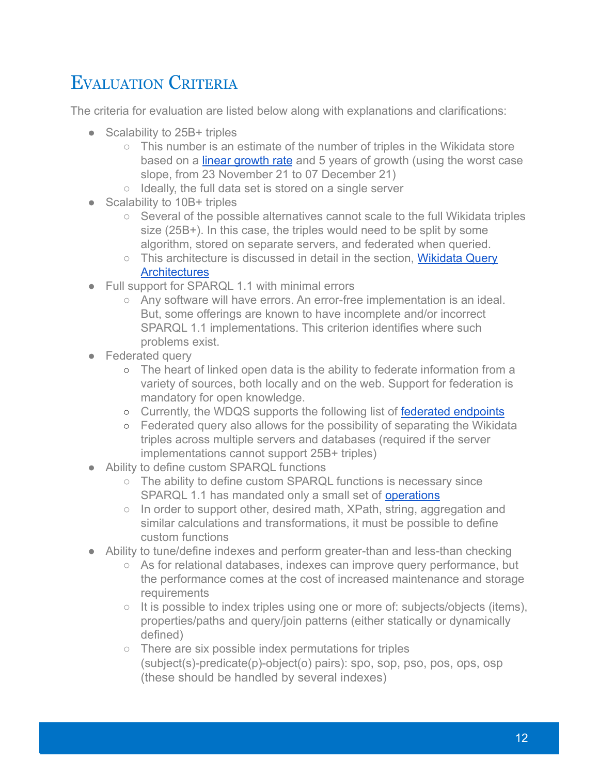# <span id="page-11-0"></span>EVALUATION CRITERIA

The criteria for evaluation are listed below along with explanations and clarifications:

- Scalability to 25B+ triples
	- This number is an estimate of the number of triples in the Wikidata store based on a [linear growth rate](https://grafana.wikimedia.org/d/000000489/wikidata-query-service?viewPanel=7&orgId=1&from=now-6M&to=now) and 5 years of growth (using the worst case slope, from 23 November 21 to 07 December 21)
	- Ideally, the full data set is stored on a single server
- Scalability to 10B+ triples
	- $\circ$  Several of the possible alternatives cannot scale to the full Wikidata triples size (25B+). In this case, the triples would need to be split by some algorithm, stored on separate servers, and federated when queried.
	- This architecture is discussed in detail in the section, [Wikidata Query](#page-35-0) **[Architectures](#page-35-0)**
- Full support for SPARQL 1.1 with minimal errors
	- Any software will have errors. An error-free implementation is an ideal. But, some offerings are known to have incomplete and/or incorrect SPARQL 1.1 implementations. This criterion identifies where such problems exist.
- Federated query
	- The heart of linked open data is the ability to federate information from a variety of sources, both locally and on the web. Support for federation is mandatory for open knowledge.
	- o Currently, the WDQS supports the following list of [federated endpoints](https://gerrit.wikimedia.org/r/plugins/gitiles/wikidata/query/deploy/+/refs/heads/master/whitelist.txt)
	- Federated query also allows for the possibility of separating the Wikidata triples across multiple servers and databases (required if the server implementations cannot support 25B+ triples)
- Ability to define custom SPARQL functions
	- The ability to define custom SPARQL functions is necessary since SPARQL 1.1 has mandated only a small set of [operations](https://www.w3.org/TR/sparql11-query/#SparqlOps)
	- In order to support other, desired math, XPath, string, aggregation and similar calculations and transformations, it must be possible to define custom functions
- Ability to tune/define indexes and perform greater-than and less-than checking
	- As for relational databases, indexes can improve query performance, but the performance comes at the cost of increased maintenance and storage requirements
	- It is possible to index triples using one or more of: subjects/objects (items), properties/paths and query/join patterns (either statically or dynamically defined)
	- There are six possible index permutations for triples (subject(s)-predicate(p)-object(o) pairs): spo, sop, pso, pos, ops, osp (these should be handled by several indexes)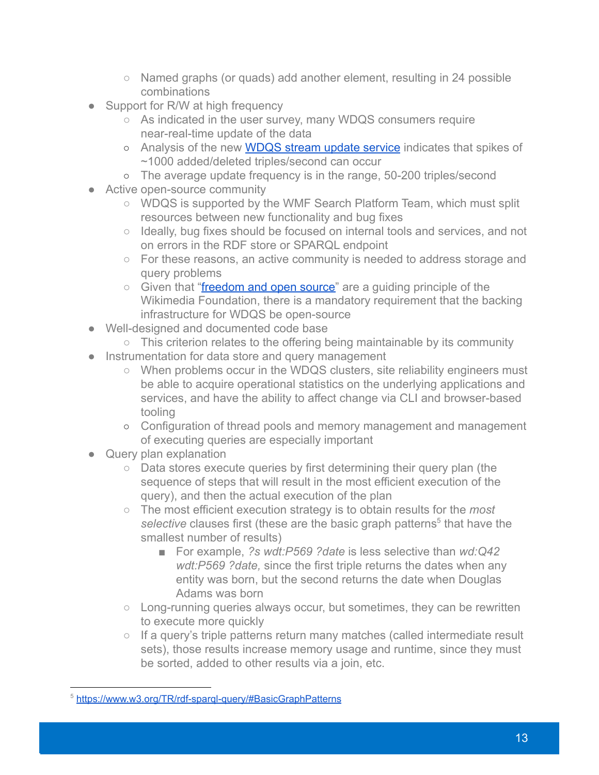- Named graphs (or quads) add another element, resulting in 24 possible combinations
- Support for R/W at high frequency
	- As indicated in the user survey, many WDQS consumers require near-real-time update of the data
	- o Analysis of the new [WDQS stream update service](https://phabricator.wikimedia.org/T244590) indicates that spikes of ~1000 added/deleted triples/second can occur
	- o The average update frequency is in the range, 50-200 triples/second
- Active open-source community
	- WDQS is supported by the WMF Search Platform Team, which must split resources between new functionality and bug fixes
	- Ideally, bug fixes should be focused on internal tools and services, and not on errors in the RDF store or SPARQL endpoint
	- For these reasons, an active community is needed to address storage and query problems
	- Given that "[freedom and open source"](https://meta.wikimedia.org/wiki/Wikimedia_Foundation_Guiding_Principles#Freedom_and_open_source) are a quiding principle of the Wikimedia Foundation, there is a mandatory requirement that the backing infrastructure for WDQS be open-source
- Well-designed and documented code base
	- This criterion relates to the offering being maintainable by its community
- Instrumentation for data store and query management
	- When problems occur in the WDQS clusters, site reliability engineers must be able to acquire operational statistics on the underlying applications and services, and have the ability to affect change via CLI and browser-based tooling
	- Configuration of thread pools and memory management and management of executing queries are especially important
- Query plan explanation
	- Data stores execute queries by first determining their query plan (the sequence of steps that will result in the most efficient execution of the query), and then the actual execution of the plan
	- The most efficient execution strategy is to obtain results for the *most selective* clauses first (these are the basic graph patterns<sup>5</sup> that have the smallest number of results)
		- For example, *?s wdt:P569 ?date* is less selective than *wd:Q42 wdt:P569 ?date,* since the first triple returns the dates when any entity was born, but the second returns the date when Douglas Adams was born
	- Long-running queries always occur, but sometimes, they can be rewritten to execute more quickly
	- If a query's triple patterns return many matches (called intermediate result sets), those results increase memory usage and runtime, since they must be sorted, added to other results via a join, etc.

<sup>&</sup>lt;sup>5</sup> <https://www.w3.org/TR/rdf-sparql-query/#BasicGraphPatterns>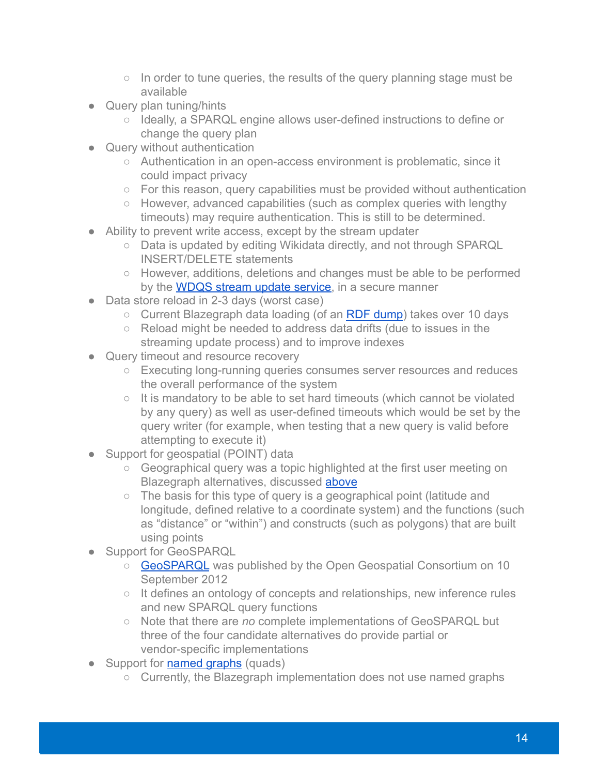- $\circ$  In order to tune queries, the results of the query planning stage must be available
- Query plan tuning/hints
	- Ideally, a SPARQL engine allows user-defined instructions to define or change the query plan
- Query without authentication
	- Authentication in an open-access environment is problematic, since it could impact privacy
	- For this reason, query capabilities must be provided without authentication
	- However, advanced capabilities (such as complex queries with lengthy timeouts) may require authentication. This is still to be determined.
- Ability to prevent write access, except by the stream updater
	- Data is updated by editing Wikidata directly, and not through SPARQL INSERT/DELETE statements
	- However, additions, deletions and changes must be able to be performed by the [WDQS stream update service,](https://phabricator.wikimedia.org/T244590) in a secure manner
- Data store reload in 2-3 days (worst case)
	- Current Blazegraph data loading (of an [RDF dump](https://www.wikidata.org/wiki/Wikidata:Database_download#RDF_dumps)) takes over 10 days
	- Reload might be needed to address data drifts (due to issues in the streaming update process) and to improve indexes
- Query timeout and resource recovery
	- Executing long-running queries consumes server resources and reduces the overall performance of the system
	- It is mandatory to be able to set hard timeouts (which cannot be violated by any query) as well as user-defined timeouts which would be set by the query writer (for example, when testing that a new query is valid before attempting to execute it)
- Support for geospatial (POINT) data
	- Geographical query was a topic highlighted at the first user meeting on Blazegraph alternatives, discussed [above](#page-10-0)
	- The basis for this type of query is a geographical point (latitude and longitude, defined relative to a coordinate system) and the functions (such as "distance" or "within") and constructs (such as polygons) that are built using points
- Support for GeoSPARQL
	- [GeoSPARQL](http://www.opengis.net/doc/IS/geosparql/1.0) was published by the Open Geospatial Consortium on 10 September 2012
	- It defines an ontology of concepts and relationships, new inference rules and new SPARQL query functions
	- Note that there are *no* complete implementations of GeoSPARQL but three of the four candidate alternatives do provide partial or vendor-specific implementations
- Support for [named graphs](https://en.wikipedia.org/wiki/Named_graph) (quads)
	- Currently, the Blazegraph implementation does not use named graphs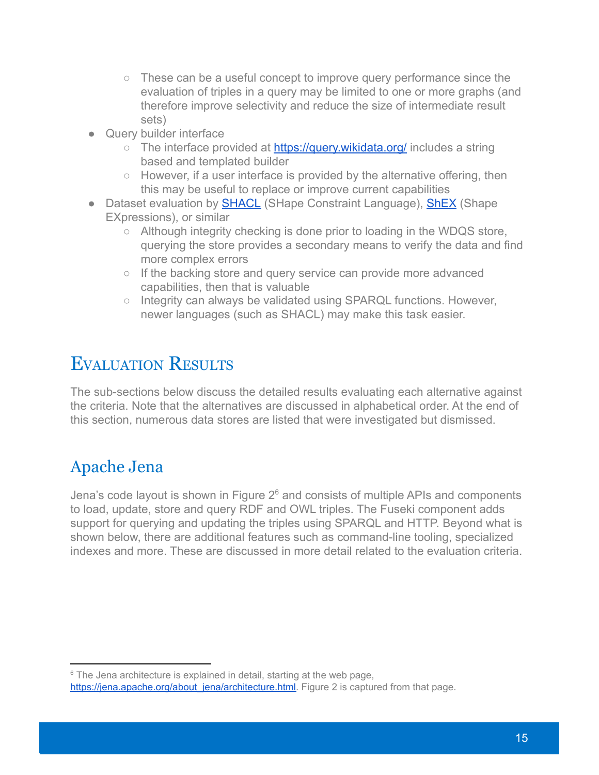- These can be a useful concept to improve query performance since the evaluation of triples in a query may be limited to one or more graphs (and therefore improve selectivity and reduce the size of intermediate result sets)
- Query builder interface
	- The interface provided at <https://query.wikidata.org/> includes a string based and templated builder
	- However, if a user interface is provided by the alternative offering, then this may be useful to replace or improve current capabilities
- Dataset evaluation by [SHACL](https://www.w3.org/TR/shacl/) (SHape Constraint Language), [ShEX](https://shex.io/) (Shape EXpressions), or similar
	- Although integrity checking is done prior to loading in the WDQS store, querying the store provides a secondary means to verify the data and find more complex errors
	- If the backing store and query service can provide more advanced capabilities, then that is valuable
	- Integrity can always be validated using SPARQL functions. However, newer languages (such as SHACL) may make this task easier.

# <span id="page-14-0"></span>EVALUATION RESULTS

The sub-sections below discuss the detailed results evaluating each alternative against the criteria. Note that the alternatives are discussed in alphabetical order. At the end of this section, numerous data stores are listed that were investigated but dismissed.

### <span id="page-14-1"></span>Apache Jena

Jena's code layout is shown in Figure  $2<sup>6</sup>$  and consists of multiple APIs and components to load, update, store and query RDF and OWL triples. The Fuseki component adds support for querying and updating the triples using SPARQL and HTTP. Beyond what is shown below, there are additional features such as command-line tooling, specialized indexes and more. These are discussed in more detail related to the evaluation criteria.

 $6$  The Jena architecture is explained in detail, starting at the web page,

[https://jena.apache.org/about\\_jena/architecture.html.](https://jena.apache.org/about_jena/architecture.html) Figure 2 is captured from that page.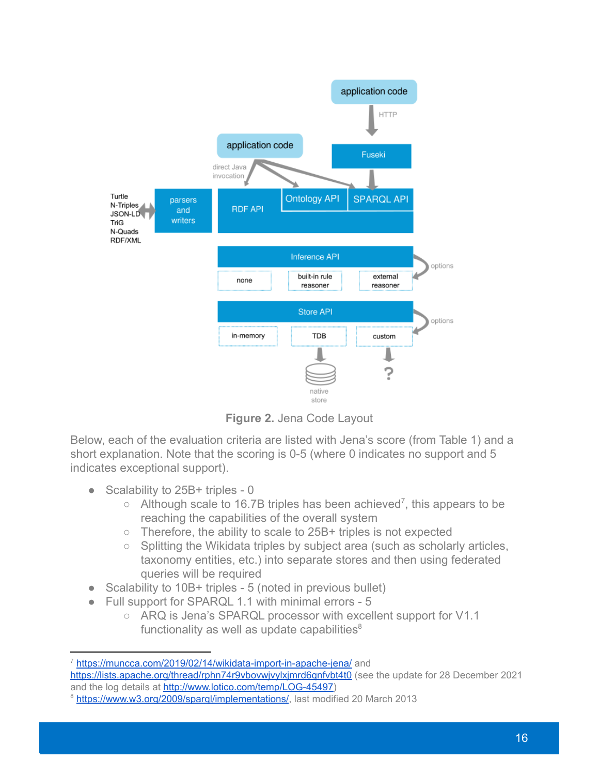

**Figure 2.** Jena Code Layout

Below, each of the evaluation criteria are listed with Jena's score (from Table 1) and a short explanation. Note that the scoring is 0-5 (where 0 indicates no support and 5 indicates exceptional support).

- Scalability to 25B+ triples 0
	- $\circ$  Although scale to 16.7B triples has been achieved<sup>7</sup>, this appears to be reaching the capabilities of the overall system
	- Therefore, the ability to scale to 25B+ triples is not expected
	- Splitting the Wikidata triples by subject area (such as scholarly articles, taxonomy entities, etc.) into separate stores and then using federated queries will be required
- Scalability to 10B+ triples 5 (noted in previous bullet)
- Full support for SPARQL 1.1 with minimal errors 5
	- ARQ is Jena's SPARQL processor with excellent support for V1.1 functionality as well as update capabilities $8$

<https://lists.apache.org/thread/rphn74r9vbovwjvylxjmrd6qnfvbt4t0> (see the update for 28 December 2021 and the log details at [http://www.lotico.com/temp/LOG-45497\)](http://www.lotico.com/temp/LOG-45497)

<sup>&</sup>lt;sup>7</sup> <https://muncca.com/2019/02/14/wikidata-import-in-apache-jena/> and

<sup>&</sup>lt;sup>8</sup> <https://www.w3.org/2009/sparql/implementations/>, last modified 20 March 2013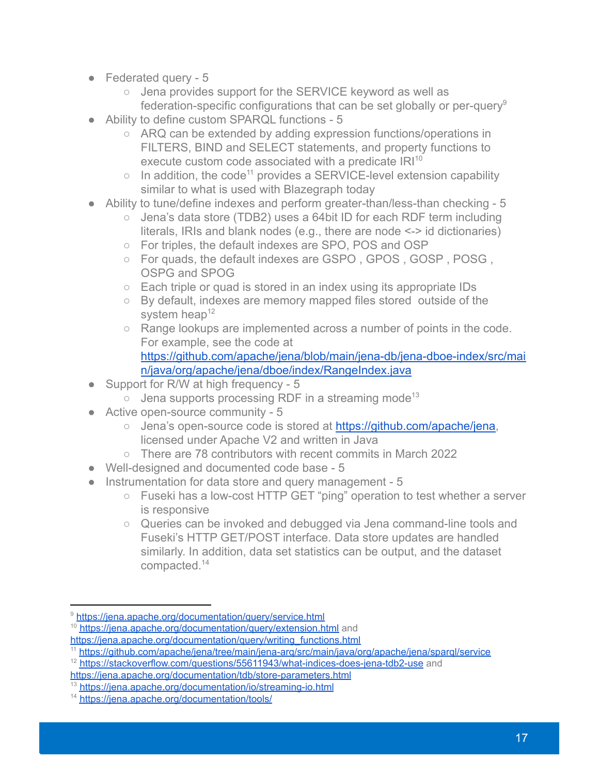- Federated query 5
	- Jena provides support for the SERVICE keyword as well as federation-specific configurations that can be set globally or per-query<sup>9</sup>
- Ability to define custom SPARQL functions 5
	- ARQ can be extended by adding expression functions/operations in FILTERS, BIND and SELECT statements, and property functions to execute custom code associated with a predicate  $IRI<sup>10</sup>$
	- $\circ$  In addition, the code<sup>11</sup> provides a SERVICE-level extension capability similar to what is used with Blazegraph today
- Ability to tune/define indexes and perform greater-than/less-than checking 5
	- Jena's data store (TDB2) uses a 64bit ID for each RDF term including literals, IRIs and blank nodes (e.g., there are node <-> id dictionaries)
	- For triples, the default indexes are SPO, POS and OSP
	- For quads, the default indexes are GSPO, GPOS, GOSP, POSG, OSPG and SPOG
	- Each triple or quad is stored in an index using its appropriate IDs
	- By default, indexes are memory mapped files stored outside of the system heap $12$
	- Range lookups are implemented across a number of points in the code. For example, see the code at [https://github.com/apache/jena/blob/main/jena-db/jena-dboe-index/src/mai](https://github.com/apache/jena/blob/main/jena-db/jena-dboe-index/src/main/java/org/apache/jena/dboe/index/RangeIndex.java) [n/java/org/apache/jena/dboe/index/RangeIndex.java](https://github.com/apache/jena/blob/main/jena-db/jena-dboe-index/src/main/java/org/apache/jena/dboe/index/RangeIndex.java)
- Support for R/W at high frequency 5
	- $\circ$  Jena supports processing RDF in a streaming mode<sup>13</sup>
- Active open-source community 5
	- Jena's open-source code is stored at [https://github.com/apache/jena,](https://github.com/apache/jena) licensed under Apache V2 and written in Java
	- There are 78 contributors with recent commits in March 2022
- Well-designed and documented code base 5
- Instrumentation for data store and query management 5
	- Fuseki has a low-cost HTTP GET "ping" operation to test whether a server is responsive
	- Queries can be invoked and debugged via Jena command-line tools and Fuseki's HTTP GET/POST interface. Data store updates are handled similarly. In addition, data set statistics can be output, and the dataset compacted.<sup>14</sup>

<sup>&</sup>lt;sup>10</sup> <https://jena.apache.org/documentation/query/extension.html> and [https://jena.apache.org/documentation/query/writing\\_functions.html](https://jena.apache.org/documentation/query/writing_functions.html) <sup>9</sup> <https://jena.apache.org/documentation/query/service.html>

<sup>11</sup> <https://github.com/apache/jena/tree/main/jena-arq/src/main/java/org/apache/jena/sparql/service>

<sup>&</sup>lt;sup>12</sup> <https://stackoverflow.com/questions/55611943/what-indices-does-jena-tdb2-use> and

<https://jena.apache.org/documentation/tdb/store-parameters.html>

<sup>13</sup> <https://jena.apache.org/documentation/io/streaming-io.html>

<sup>14</sup> <https://jena.apache.org/documentation/tools/>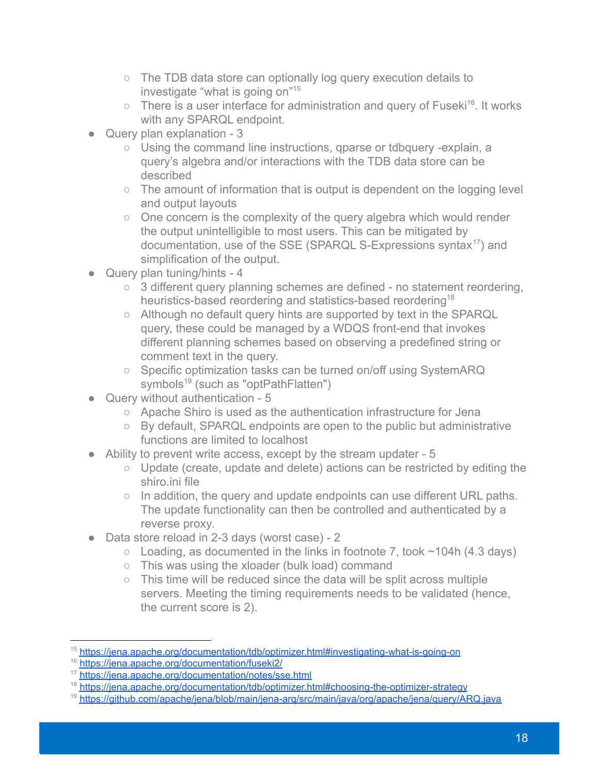- The TDB data store can optionally log query execution details to investigate "what is going on"<sup>15</sup>
- $\circ$  There is a user interface for administration and query of Fuseki<sup>16</sup>. It works with any SPARQL endpoint.
- Query plan explanation 3
	- Using the command line instructions, qparse or tdbquery -explain, a query's algebra and/or interactions with the TDB data store can be described
	- The amount of information that is output is dependent on the logging level and output layouts
	- One concern is the complexity of the query algebra which would render the output unintelligible to most users. This can be mitigated by documentation, use of the SSE (SPARQL S-Expressions syntax $17$ ) and simplification of the output.
- Query plan tuning/hints 4
	- 3 different query planning schemes are defined no statement reordering, heuristics-based reordering and statistics-based reordering<sup>18</sup>
	- Although no default query hints are supported by text in the SPARQL query, these could be managed by a WDQS front-end that invokes different planning schemes based on observing a predefined string or comment text in the query.
	- Specific optimization tasks can be turned on/off using SystemARQ symbols $<sup>19</sup>$  (such as "optPathFlatten")</sup>
- Query without authentication 5
	- Apache Shiro is used as the authentication infrastructure for Jena
	- By default, SPARQL endpoints are open to the public but administrative functions are limited to localhost
- Ability to prevent write access, except by the stream updater 5
	- Update (create, update and delete) actions can be restricted by editing the shiro ini file
	- In addition, the query and update endpoints can use different URL paths. The update functionality can then be controlled and authenticated by a reverse proxy.
- Data store reload in 2-3 days (worst case) 2
	- $\circ$  Loading, as documented in the links in footnote 7, took  $\sim$  104h (4.3 days)
	- This was using the xloader (bulk load) command
	- This time will be reduced since the data will be split across multiple servers. Meeting the timing requirements needs to be validated (hence, the current score is 2).

<sup>&</sup>lt;sup>15</sup> <https://jena.apache.org/documentation/tdb/optimizer.html#investigating-what-is-going-on>

<sup>16</sup> <https://jena.apache.org/documentation/fuseki2/>

<sup>17</sup> <https://jena.apache.org/documentation/notes/sse.html>

<sup>&</sup>lt;sup>18</sup> <https://jena.apache.org/documentation/tdb/optimizer.html#choosing-the-optimizer-strategy>

<sup>&</sup>lt;sup>19</sup> <https://github.com/apache/jena/blob/main/jena-arq/src/main/java/org/apache/jena/query/ARQ.java>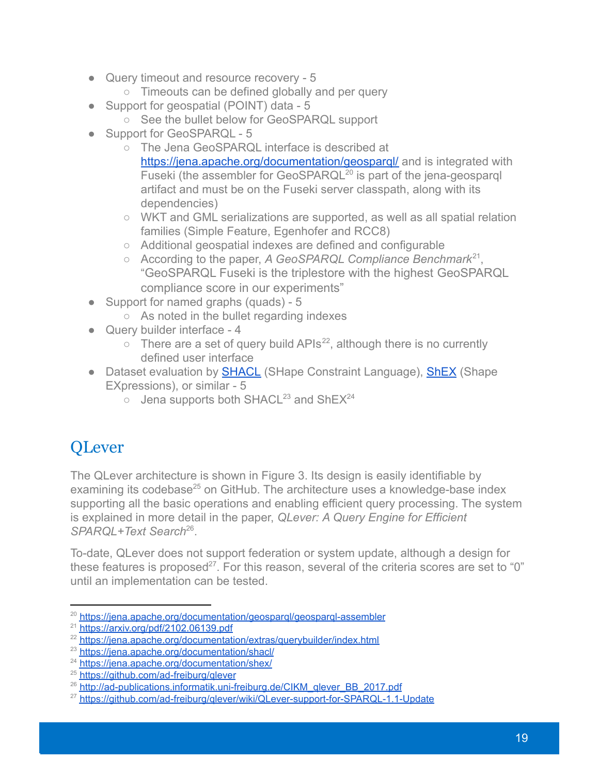- Query timeout and resource recovery 5
	- Timeouts can be defined globally and per query
- Support for geospatial (POINT) data 5
	- See the bullet below for GeoSPARQL support
- Support for GeoSPARQL 5
	- The Jena GeoSPARQL interface is described at https://jena.apache.org/documentation/geospargl/ and is integrated with Fuseki (the assembler for GeoSPARQL<sup>20</sup> is part of the jena-geosparql artifact and must be on the Fuseki server classpath, along with its dependencies)
	- WKT and GML serializations are supported, as well as all spatial relation families (Simple Feature, Egenhofer and RCC8)
	- Additional geospatial indexes are defined and configurable
	- $\circ$  According to the paper, A GeoSPARQL Compliance Benchmark<sup>21</sup>, "GeoSPARQL Fuseki is the triplestore with the highest GeoSPARQL compliance score in our experiments"
- Support for named graphs (quads) 5
	- As noted in the bullet regarding indexes
- Query builder interface 4
	- $\circ$  There are a set of query build APIs<sup>22</sup>, although there is no currently defined user interface
- Dataset evaluation by **[SHACL](https://www.w3.org/TR/shacl/)** (SHape Constraint Language), **[ShEX](https://shex.io/)** (Shape EXpressions), or similar - 5
	- $\circ$  Jena supports both SHACL<sup>23</sup> and ShEX<sup>24</sup>

# <span id="page-18-0"></span>**OLever**

The QLever architecture is shown in Figure 3. Its design is easily identifiable by examining its codebase<sup>25</sup> on GitHub. The architecture uses a knowledge-base index supporting all the basic operations and enabling efficient query processing. The system is explained in more detail in the paper, *QLever: A Query Engine for Efficient* SPARQL+Text Search<sup>26</sup>.

To-date, QLever does not support federation or system update, although a design for these features is proposed<sup>27</sup>. For this reason, several of the criteria scores are set to "0" until an implementation can be tested.

<sup>&</sup>lt;sup>20</sup> https://jena.apache.org/documentation/geospargl/geospargl-assembler

 $^{21}$  <https://arxiv.org/pdf/2102.06139.pdf>

<sup>&</sup>lt;sup>22</sup> <https://jena.apache.org/documentation/extras/querybuilder/index.html>

<sup>&</sup>lt;sup>23</sup> <https://jena.apache.org/documentation/shacl/>

<sup>&</sup>lt;sup>24</sup> <https://jena.apache.org/documentation/shex/>

<sup>&</sup>lt;sup>25</sup> https://github.com/ad-freiburg/glever

<sup>&</sup>lt;sup>26</sup> [http://ad-publications.informatik.uni-freiburg.de/CIKM\\_qlever\\_BB\\_2017.pdf](http://ad-publications.informatik.uni-freiburg.de/CIKM_qlever_BB_2017.pdf)

<sup>&</sup>lt;sup>27</sup> <https://github.com/ad-freiburg/qlever/wiki/QLever-support-for-SPARQL-1.1-Update>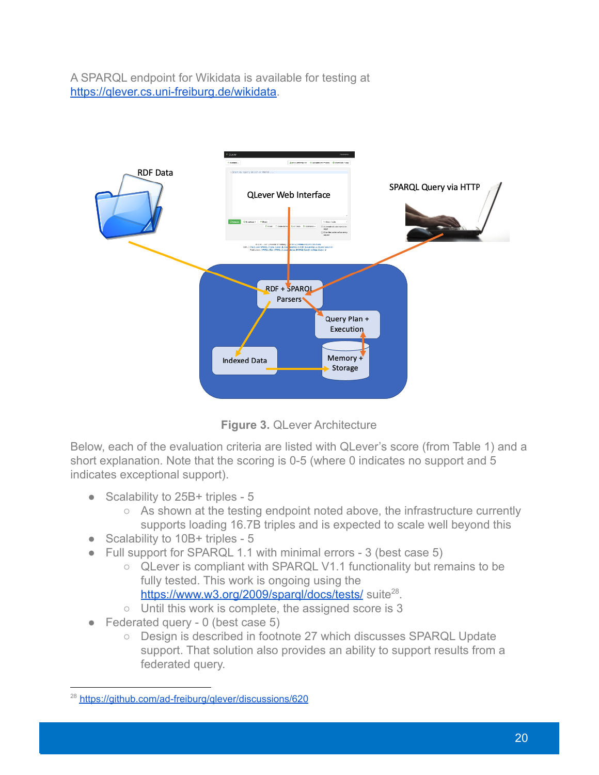A SPARQL endpoint for Wikidata is available for testing at [https://qlever.cs.uni-freiburg.de/wikidata.](https://qlever.cs.uni-freiburg.de/wikidata)



**Figure 3.** QLever Architecture

Below, each of the evaluation criteria are listed with QLever's score (from Table 1) and a short explanation. Note that the scoring is 0-5 (where 0 indicates no support and 5 indicates exceptional support).

- Scalability to 25B+ triples 5
	- As shown at the testing endpoint noted above, the infrastructure currently supports loading 16.7B triples and is expected to scale well beyond this
- Scalability to 10B+ triples 5
- Full support for SPARQL 1.1 with minimal errors 3 (best case 5)
	- QLever is compliant with SPARQL V1.1 functionality but remains to be fully tested. This work is ongoing using the
		- <https://www.w3.org/2009/sparql/docs/tests/> suite<sup>28</sup>.
	- Until this work is complete, the assigned score is 3
- $\bullet$  Federated query 0 (best case 5)
	- Design is described in footnote 27 which discusses SPARQL Update support. That solution also provides an ability to support results from a federated query.

<sup>&</sup>lt;sup>28</sup> https://github.com/ad-freiburg/glever/discussions/620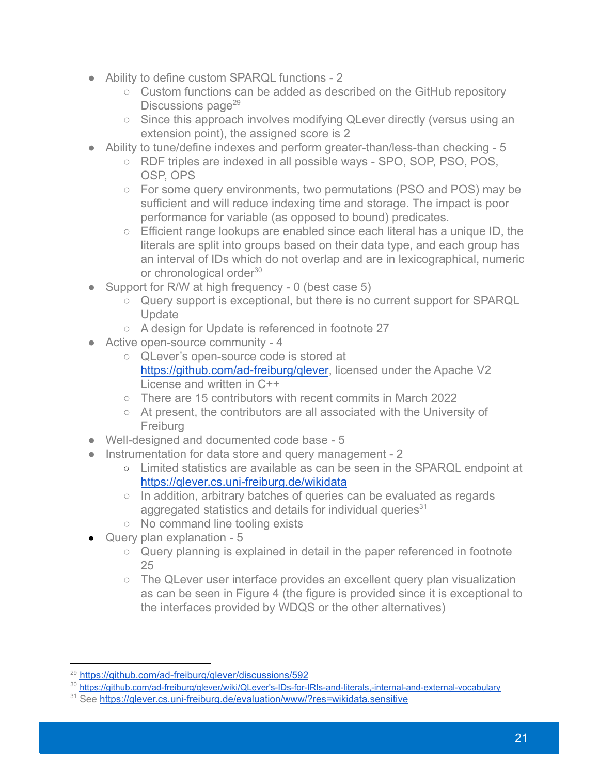- Ability to define custom SPARQL functions 2
	- Custom functions can be added as described on the GitHub repository Discussions page $^{29}$
	- Since this approach involves modifying QLever directly (versus using an extension point), the assigned score is 2
- Ability to tune/define indexes and perform greater-than/less-than checking 5
	- RDF triples are indexed in all possible ways SPO, SOP, PSO, POS, OSP, OPS
	- For some query environments, two permutations (PSO and POS) may be sufficient and will reduce indexing time and storage. The impact is poor performance for variable (as opposed to bound) predicates.
	- Efficient range lookups are enabled since each literal has a unique ID, the literals are split into groups based on their data type, and each group has an interval of IDs which do not overlap and are in lexicographical, numeric or chronological order<sup>30</sup>
- Support for R/W at high frequency 0 (best case 5)
	- Query support is exceptional, but there is no current support for SPARQL **Update**
	- A design for Update is referenced in footnote 27
- Active open-source community 4
	- QLever's open-source code is stored at <https://github.com/ad-freiburg/qlever>, licensed under the Apache V2 License and written in C++
	- There are 15 contributors with recent commits in March 2022
	- At present, the contributors are all associated with the University of Freiburg
- Well-designed and documented code base 5
- Instrumentation for data store and query management 2
	- Limited statistics are available as can be seen in the SPARQL endpoint at <https://qlever.cs.uni-freiburg.de/wikidata>
	- In addition, arbitrary batches of queries can be evaluated as regards aggregated statistics and details for individual queries $31$
	- No command line tooling exists
- Query plan explanation 5
	- Query planning is explained in detail in the paper referenced in footnote 25
	- The QLever user interface provides an excellent query plan visualization as can be seen in Figure 4 (the figure is provided since it is exceptional to the interfaces provided by WDQS or the other alternatives)

<sup>&</sup>lt;sup>29</sup> https://github.com/ad-freiburg/glever/discussions/592

<sup>30</sup> [https://github.com/ad-freiburg/qlever/wiki/QLever's-IDs-for-IRIs-and-literals,-internal-and-external-vocabulary](https://github.com/ad-freiburg/qlever/wiki/QLever)

<sup>&</sup>lt;sup>31</sup> See https://glever.cs.uni-freiburg.de/evaluation/www/?res=wikidata.sensitive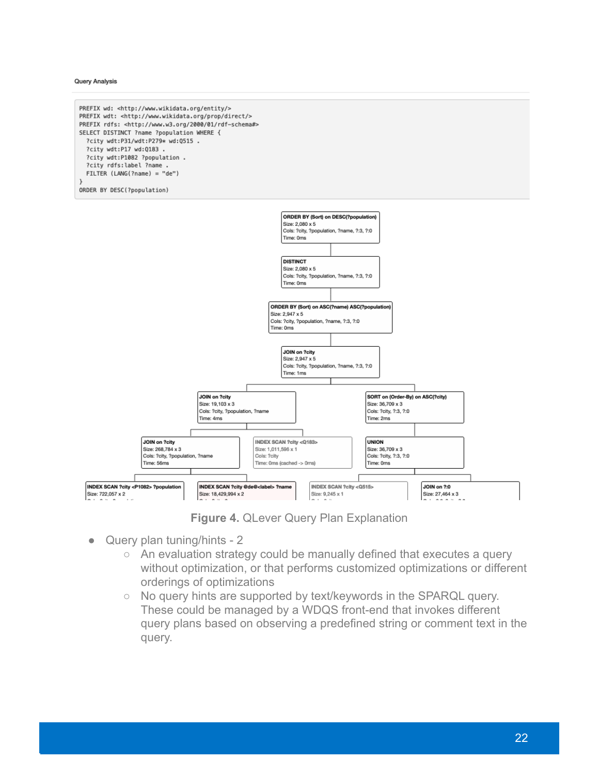**Query Analysis** 

![](_page_21_Figure_1.jpeg)

**Figure 4.** QLever Query Plan Explanation

- Query plan tuning/hints 2
	- An evaluation strategy could be manually defined that executes a query without optimization, or that performs customized optimizations or different orderings of optimizations
	- No query hints are supported by text/keywords in the SPARQL query. These could be managed by a WDQS front-end that invokes different query plans based on observing a predefined string or comment text in the query.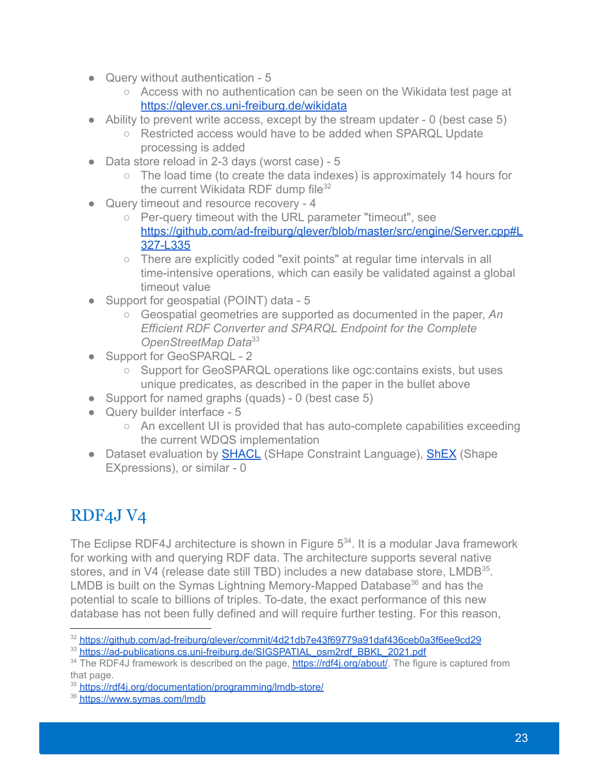- Query without authentication 5
	- Access with no authentication can be seen on the Wikidata test page at <https://qlever.cs.uni-freiburg.de/wikidata>
- Ability to prevent write access, except by the stream updater  $-0$  (best case 5)
	- Restricted access would have to be added when SPARQL Update processing is added
- Data store reload in 2-3 days (worst case) 5
	- The load time (to create the data indexes) is approximately 14 hours for the current Wikidata RDF dump file $32$
- Query timeout and resource recovery 4
	- Per-query timeout with the URL parameter "timeout", see [https://github.com/ad-freiburg/qlever/blob/master/src/engine/Server.cpp#L](https://github.com/ad-freiburg/qlever/blob/master/src/engine/Server.cpp#L327-L335) [327-L335](https://github.com/ad-freiburg/qlever/blob/master/src/engine/Server.cpp#L327-L335)
	- There are explicitly coded "exit points" at regular time intervals in all time-intensive operations, which can easily be validated against a global timeout value
- Support for geospatial (POINT) data 5
	- Geospatial geometries are supported as documented in the paper, *An Efficient RDF Converter and SPARQL Endpoint for the Complete OpenStreetMap Data*<sup>33</sup>
- Support for GeoSPARQL 2
	- Support for GeoSPARQL operations like ogc: contains exists, but uses unique predicates, as described in the paper in the bullet above
- Support for named graphs (quads) 0 (best case 5)
- Query builder interface 5
	- An excellent UI is provided that has auto-complete capabilities exceeding the current WDQS implementation
- Dataset evaluation by [SHACL](https://www.w3.org/TR/shacl/) (SHape Constraint Language), [ShEX](https://shex.io/) (Shape EXpressions), or similar - 0

### <span id="page-22-0"></span>RDF4J V4

The Eclipse RDF4J architecture is shown in Figure  $5<sup>34</sup>$ . It is a modular Java framework for working with and querying RDF data. The architecture supports several native stores, and in V4 (release date still TBD) includes a new database store,  $LMDB^{35}$ . LMDB is built on the Symas Lightning Memory-Mapped Database<sup>36</sup> and has the potential to scale to billions of triples. To-date, the exact performance of this new database has not been fully defined and will require further testing. For this reason,

<sup>&</sup>lt;sup>32</sup> https://github.com/ad-freiburg/glever/commit/4d21db7e43f69779a91daf436ceb0a3f6ee9cd29

<sup>33</sup> [https://ad-publications.cs.uni-freiburg.de/SIGSPATIAL\\_osm2rdf\\_BBKL\\_2021.pdf](https://ad-publications.cs.uni-freiburg.de/SIGSPATIAL_osm2rdf_BBKL_2021.pdf)

<sup>&</sup>lt;sup>34</sup> The RDF4J framework is described on the page, **https://rdf4i.org/about/**. The figure is captured from that page.

<sup>35</sup> <https://rdf4j.org/documentation/programming/lmdb-store/>

<sup>36</sup> <https://www.symas.com/lmdb>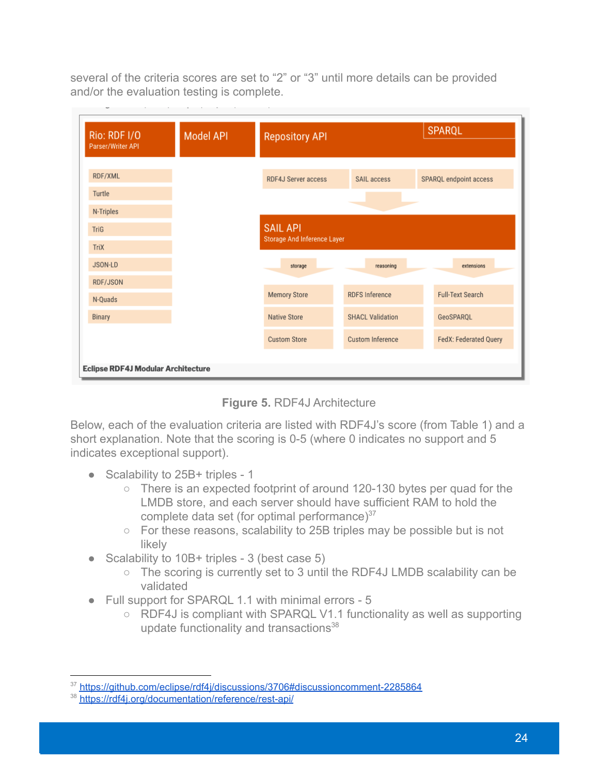several of the criteria scores are set to "2" or "3" until more details can be provided and/or the evaluation testing is complete.

| Rio: RDF I/O<br>Parser/Writer API  | <b>Model API</b> | <b>Repository API</b>       |                         |                              |
|------------------------------------|------------------|-----------------------------|-------------------------|------------------------------|
| RDF/XML                            |                  | <b>RDF4J Server access</b>  | SAIL access             | SPARQL endpoint access       |
| Turtle                             |                  |                             |                         |                              |
| N-Triples                          |                  |                             |                         |                              |
| TriG                               |                  | <b>SAIL API</b>             |                         |                              |
| <b>TriX</b>                        |                  | Storage And Inference Layer |                         |                              |
| JSON-LD                            |                  | storage                     | reasoning               | extensions                   |
| RDF/JSON                           |                  |                             |                         |                              |
| N-Quads                            |                  | <b>Memory Store</b>         | <b>RDFS Inference</b>   | <b>Full-Text Search</b>      |
| <b>Binary</b>                      |                  | <b>Native Store</b>         | <b>SHACL Validation</b> | GeoSPARQL                    |
|                                    |                  | <b>Custom Store</b>         | <b>Custom Inference</b> | <b>FedX: Federated Query</b> |
| Eclipse RDF4J Modular Architecture |                  |                             |                         |                              |

**Figure 5.** RDF4J Architecture

Below, each of the evaluation criteria are listed with RDF4J's score (from Table 1) and a short explanation. Note that the scoring is 0-5 (where 0 indicates no support and 5 indicates exceptional support).

- Scalability to 25B+ triples 1
	- There is an expected footprint of around 120-130 bytes per quad for the LMDB store, and each server should have sufficient RAM to hold the complete data set (for optimal performance) $37$
	- For these reasons, scalability to 25B triples may be possible but is not likely
- Scalability to 10B+ triples 3 (best case 5)
	- The scoring is currently set to 3 until the RDF4J LMDB scalability can be validated
- Full support for SPARQL 1.1 with minimal errors 5
	- RDF4J is compliant with SPARQL V1.1 functionality as well as supporting update functionality and transactions $38$

<sup>37</sup> <https://github.com/eclipse/rdf4j/discussions/3706#discussioncomment-2285864>

<sup>38</sup> <https://rdf4j.org/documentation/reference/rest-api/>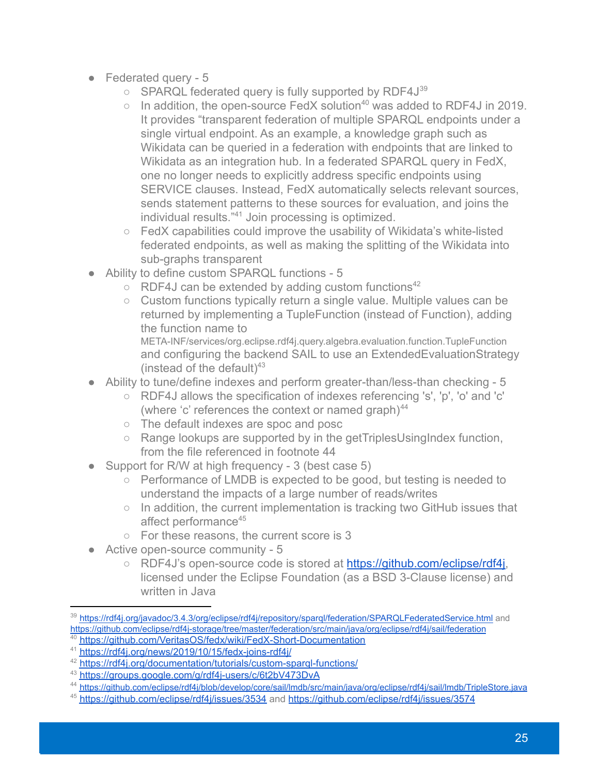- Federated query 5
	- SPARQL federated query is fully supported by RDF4J<sup>39</sup>
	- $\circ$  In addition, the open-source FedX solution<sup>40</sup> was added to RDF4J in 2019. It provides "transparent federation of multiple SPARQL endpoints under a single virtual endpoint. As an example, a knowledge graph such as Wikidata can be queried in a federation with endpoints that are linked to Wikidata as an integration hub. In a federated SPARQL query in FedX, one no longer needs to explicitly address specific endpoints using SERVICE clauses. Instead, FedX automatically selects relevant sources, sends statement patterns to these sources for evaluation, and joins the individual results."<sup>41</sup> Join processing is optimized.
	- FedX capabilities could improve the usability of Wikidata's white-listed federated endpoints, as well as making the splitting of the Wikidata into sub-graphs transparent
- Ability to define custom SPARQL functions 5
	- $\circ$  RDF4J can be extended by adding custom functions<sup>42</sup>
	- Custom functions typically return a single value. Multiple values can be returned by implementing a TupleFunction (instead of Function), adding the function name to META-INF/services/org.eclipse.rdf4j.query.algebra.evaluation.function.TupleFunction and configuring the backend SAIL to use an ExtendedEvaluationStrategy (instead of the default) $43$
- Ability to tune/define indexes and perform greater-than/less-than checking 5
	- RDF4J allows the specification of indexes referencing 's', 'p', 'o' and 'c' (where 'c' references the context or named graph) $44$
	- The default indexes are spoc and posc
	- Range lookups are supported by in the getTriplesUsingIndex function, from the file referenced in footnote 44
- Support for R/W at high frequency 3 (best case 5)
	- Performance of LMDB is expected to be good, but testing is needed to understand the impacts of a large number of reads/writes
	- In addition, the current implementation is tracking two GitHub issues that affect performance<sup>45</sup>
	- For these reasons, the current score is 3
- Active open-source community 5
	- RDF4J's open-source code is stored at [https://github.com/eclipse/rdf4j,](https://github.com/eclipse/rdf4j) licensed under the Eclipse Foundation (as a BSD 3-Clause license) and written in Java

<sup>40</sup> <https://github.com/VeritasOS/fedx/wiki/FedX-Short-Documentation> <sup>39</sup> <https://rdf4j.org/javadoc/3.4.3/org/eclipse/rdf4j/repository/sparql/federation/SPARQLFederatedService.html> and <https://github.com/eclipse/rdf4j-storage/tree/master/federation/src/main/java/org/eclipse/rdf4j/sail/federation>

<sup>41</sup> <https://rdf4j.org/news/2019/10/15/fedx-joins-rdf4j/>

<sup>42</sup> <https://rdf4j.org/documentation/tutorials/custom-sparql-functions/>

<sup>43</sup> <https://groups.google.com/g/rdf4j-users/c/6t2bV473DvA>

<sup>44</sup> <https://github.com/eclipse/rdf4j/blob/develop/core/sail/lmdb/src/main/java/org/eclipse/rdf4j/sail/lmdb/TripleStore.java>

<sup>&</sup>lt;sup>45</sup> <https://github.com/eclipse/rdf4j/issues/3534> and <https://github.com/eclipse/rdf4j/issues/3574>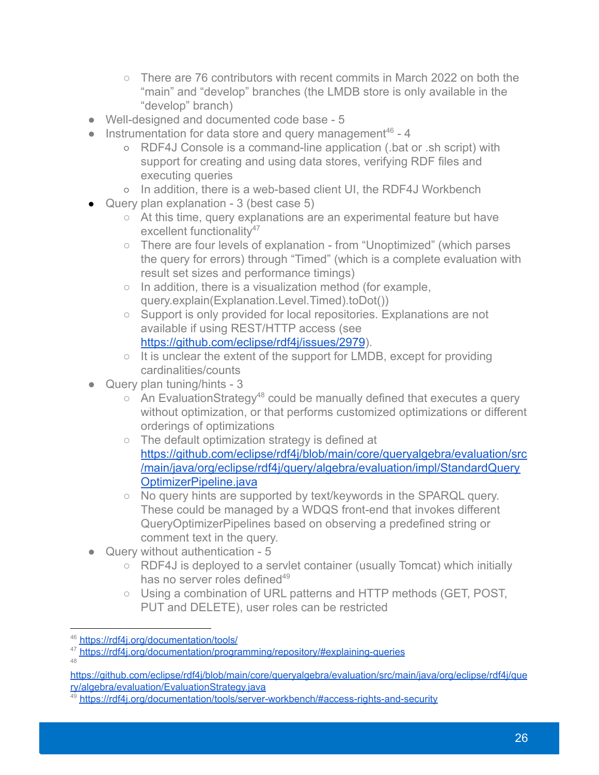- There are 76 contributors with recent commits in March 2022 on both the "main" and "develop" branches (the LMDB store is only available in the "develop" branch)
- Well-designed and documented code base 5
- $\bullet$  Instrumentation for data store and query management<sup>46</sup> 4
	- RDF4J Console is a command-line application (.bat or .sh script) with support for creating and using data stores, verifying RDF files and executing queries
	- In addition, there is a web-based client UI, the RDF4J Workbench
- $\bullet$  Query plan explanation 3 (best case 5)
	- At this time, query explanations are an experimental feature but have excellent functionality<sup>47</sup>
	- There are four levels of explanation from "Unoptimized" (which parses the query for errors) through "Timed" (which is a complete evaluation with result set sizes and performance timings)
	- In addition, there is a visualization method (for example. query.explain(Explanation.Level.Timed).toDot())
	- Support is only provided for local repositories. Explanations are not available if using REST/HTTP access (see <https://github.com/eclipse/rdf4j/issues/2979>).
	- It is unclear the extent of the support for LMDB, except for providing cardinalities/counts
- Query plan tuning/hints 3
	- $\circ$  An EvaluationStrategy<sup>48</sup> could be manually defined that executes a query without optimization, or that performs customized optimizations or different orderings of optimizations
	- The default optimization strategy is defined at [https://github.com/eclipse/rdf4j/blob/main/core/queryalgebra/evaluation/src](https://github.com/eclipse/rdf4j/blob/main/core/queryalgebra/evaluation/src/main/java/org/eclipse/rdf4j/query/algebra/evaluation/impl/StandardQueryOptimizerPipeline.java) [/main/java/org/eclipse/rdf4j/query/algebra/evaluation/impl/StandardQuery](https://github.com/eclipse/rdf4j/blob/main/core/queryalgebra/evaluation/src/main/java/org/eclipse/rdf4j/query/algebra/evaluation/impl/StandardQueryOptimizerPipeline.java) [OptimizerPipeline.java](https://github.com/eclipse/rdf4j/blob/main/core/queryalgebra/evaluation/src/main/java/org/eclipse/rdf4j/query/algebra/evaluation/impl/StandardQueryOptimizerPipeline.java)
	- No query hints are supported by text/keywords in the SPARQL query. These could be managed by a WDQS front-end that invokes different QueryOptimizerPipelines based on observing a predefined string or comment text in the query.
- Query without authentication 5
	- RDF4J is deployed to a servlet container (usually Tomcat) which initially has no server roles defined $49$
	- Using a combination of URL patterns and HTTP methods (GET, POST, PUT and DELETE), user roles can be restricted

<sup>46</sup> <https://rdf4j.org/documentation/tools/>

<sup>47</sup> <https://rdf4j.org/documentation/programming/repository/#explaining-queries>

<sup>48</sup>

[https://github.com/eclipse/rdf4j/blob/main/core/queryalgebra/evaluation/src/main/java/org/eclipse/rdf4j/que](https://github.com/eclipse/rdf4j/blob/main/core/queryalgebra/evaluation/src/main/java/org/eclipse/rdf4j/query/algebra/evaluation/EvaluationStrategy.java) [ry/algebra/evaluation/EvaluationStrategy.java](https://github.com/eclipse/rdf4j/blob/main/core/queryalgebra/evaluation/src/main/java/org/eclipse/rdf4j/query/algebra/evaluation/EvaluationStrategy.java)

<sup>&</sup>lt;sup>49</sup> <https://rdf4j.org/documentation/tools/server-workbench/#access-rights-and-security>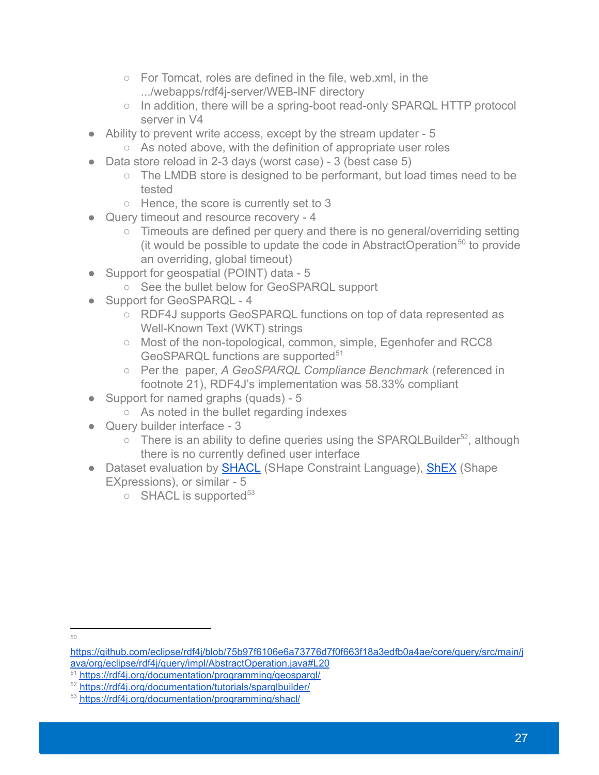- For Tomcat, roles are defined in the file, web.xml, in the .../webapps/rdf4j-server/WEB-INF directory
- In addition, there will be a spring-boot read-only SPARQL HTTP protocol server in V4
- Ability to prevent write access, except by the stream updater 5
	- As noted above, with the definition of appropriate user roles
- Data store reload in 2-3 days (worst case) 3 (best case 5)
	- The LMDB store is designed to be performant, but load times need to be tested
	- Hence, the score is currently set to 3
- Query timeout and resource recovery 4
	- Timeouts are defined per query and there is no general/overriding setting (it would be possible to update the code in AbstractOperation<sup>50</sup> to provide an overriding, global timeout)
- Support for geospatial (POINT) data 5
	- See the bullet below for GeoSPARQL support
- Support for GeoSPARQL 4
	- RDF4J supports GeoSPARQL functions on top of data represented as Well-Known Text (WKT) strings
	- Most of the non-topological, common, simple, Egenhofer and RCC8 GeoSPARQL functions are supported<sup>51</sup>
	- Per the paper, *A GeoSPARQL Compliance Benchmark* (referenced in footnote 21), RDF4J's implementation was 58.33% compliant
- Support for named graphs (quads) 5
	- As noted in the bullet regarding indexes
- Query builder interface 3
	- $\circ$  There is an ability to define queries using the SPARQLBuilder<sup>52</sup>, although there is no currently defined user interface
- Dataset evaluation by **[SHACL](https://www.w3.org/TR/shacl/)** (SHape Constraint Language), **[ShEX](https://shex.io/)** (Shape EXpressions), or similar - 5
	- $\circ$  SHACL is supported<sup>53</sup>

<sup>50</sup>

[https://github.com/eclipse/rdf4j/blob/75b97f6106e6a73776d7f0f663f18a3edfb0a4ae/core/query/src/main/j](https://github.com/eclipse/rdf4j/blob/75b97f6106e6a73776d7f0f663f18a3edfb0a4ae/core/query/src/main/java/org/eclipse/rdf4j/query/impl/AbstractOperation.java#L20) [ava/org/eclipse/rdf4j/query/impl/AbstractOperation.java#L20](https://github.com/eclipse/rdf4j/blob/75b97f6106e6a73776d7f0f663f18a3edfb0a4ae/core/query/src/main/java/org/eclipse/rdf4j/query/impl/AbstractOperation.java#L20)

<sup>51</sup> <https://rdf4j.org/documentation/programming/geosparql/>

<sup>52</sup> <https://rdf4j.org/documentation/tutorials/sparqlbuilder/>

<sup>53</sup> <https://rdf4j.org/documentation/programming/shacl/>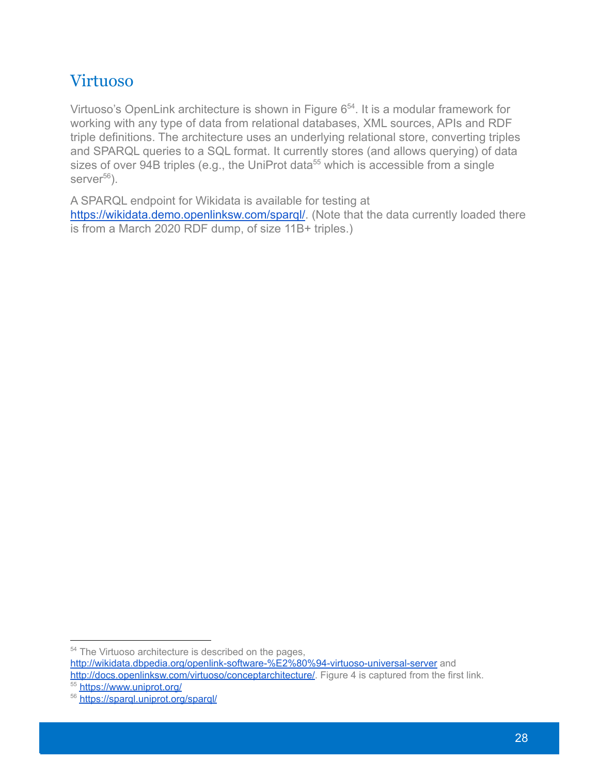#### <span id="page-27-0"></span>Virtuoso

Virtuoso's OpenLink architecture is shown in Figure  $6<sup>54</sup>$ . It is a modular framework for working with any type of data from relational databases, XML sources, APIs and RDF triple definitions. The architecture uses an underlying relational store, converting triples and SPARQL queries to a SQL format. It currently stores (and allows querying) of data sizes of over 94B triples (e.g., the UniProt data<sup>55</sup> which is accessible from a single server $56$ ).

A SPARQL endpoint for Wikidata is available for testing at <https://wikidata.demo.openlinksw.com/sparql/>. (Note that the data currently loaded there is from a March 2020 RDF dump, of size 11B+ triples.)

<sup>55</sup> <https://www.uniprot.org/> <sup>54</sup> The Virtuoso architecture is described on the pages, <http://wikidata.dbpedia.org/openlink-software-%E2%80%94-virtuoso-universal-server> and <http://docs.openlinksw.com/virtuoso/conceptarchitecture/>. Figure 4 is captured from the first link.

<sup>56</sup> <https://sparql.uniprot.org/sparql/>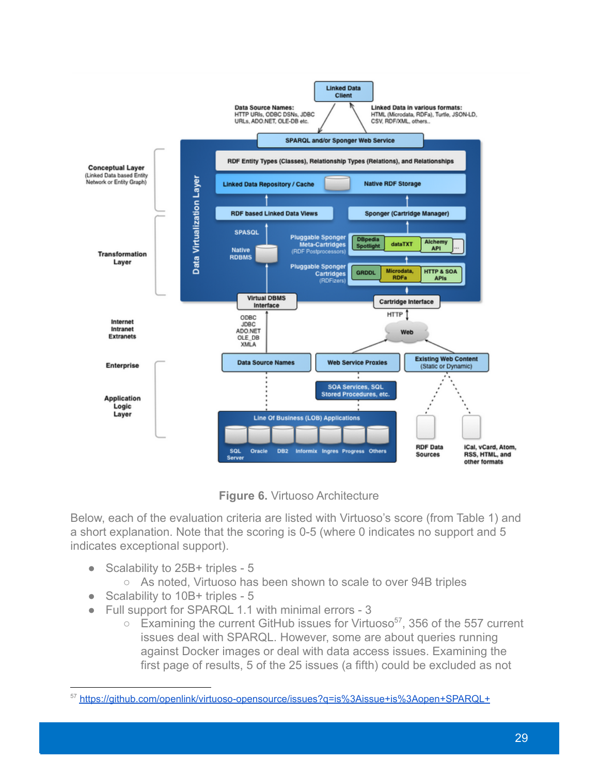![](_page_28_Figure_0.jpeg)

**Figure 6.** Virtuoso Architecture

Below, each of the evaluation criteria are listed with Virtuoso's score (from Table 1) and a short explanation. Note that the scoring is 0-5 (where 0 indicates no support and 5 indicates exceptional support).

- Scalability to 25B+ triples 5
	- As noted, Virtuoso has been shown to scale to over 94B triples
- Scalability to 10B+ triples 5
- Full support for SPARQL 1.1 with minimal errors 3
	- $\circ$  Examining the current GitHub issues for Virtuoso<sup>57</sup>, 356 of the 557 current issues deal with SPARQL. However, some are about queries running against Docker images or deal with data access issues. Examining the first page of results, 5 of the 25 issues (a fifth) could be excluded as not

<sup>57</sup> <https://github.com/openlink/virtuoso-opensource/issues?q=is%3Aissue+is%3Aopen+SPARQL+>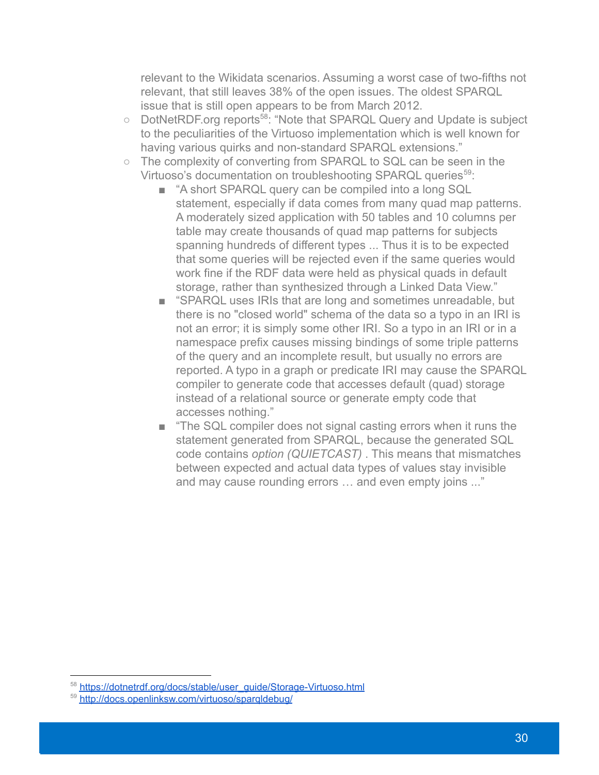relevant to the Wikidata scenarios. Assuming a worst case of two-fifths not relevant, that still leaves 38% of the open issues. The oldest SPARQL issue that is still open appears to be from March 2012.

- DotNetRDF.org reports<sup>58</sup>: "Note that SPARQL Query and Update is subject to the peculiarities of the Virtuoso implementation which is well known for having various quirks and non-standard SPARQL extensions."
- The complexity of converting from SPARQL to SQL can be seen in the Virtuoso's documentation on troubleshooting SPARQL queries<sup>59</sup>:
	- "A short SPARQL query can be compiled into a long SQL statement, especially if data comes from many quad map patterns. A moderately sized application with 50 tables and 10 columns per table may create thousands of quad map patterns for subjects spanning hundreds of different types ... Thus it is to be expected that some queries will be rejected even if the same queries would work fine if the RDF data were held as physical quads in default storage, rather than synthesized through a Linked Data View."
	- "SPARQL uses IRIs that are long and sometimes unreadable, but there is no "closed world" schema of the data so a typo in an IRI is not an error; it is simply some other IRI. So a typo in an IRI or in a namespace prefix causes missing bindings of some triple patterns of the query and an incomplete result, but usually no errors are reported. A typo in a graph or predicate IRI may cause the SPARQL compiler to generate code that accesses default (quad) storage instead of a relational source or generate empty code that accesses nothing."
	- "The SQL compiler does not signal casting errors when it runs the statement generated from SPARQL, because the generated SQL code contains *option (QUIETCAST)* . This means that mismatches between expected and actual data types of values stay invisible and may cause rounding errors … and even empty joins ..."

<sup>58</sup> [https://dotnetrdf.org/docs/stable/user\\_guide/Storage-Virtuoso.html](https://dotnetrdf.org/docs/stable/user_guide/Storage-Virtuoso.html)

<sup>59</sup> <http://docs.openlinksw.com/virtuoso/sparqldebug/>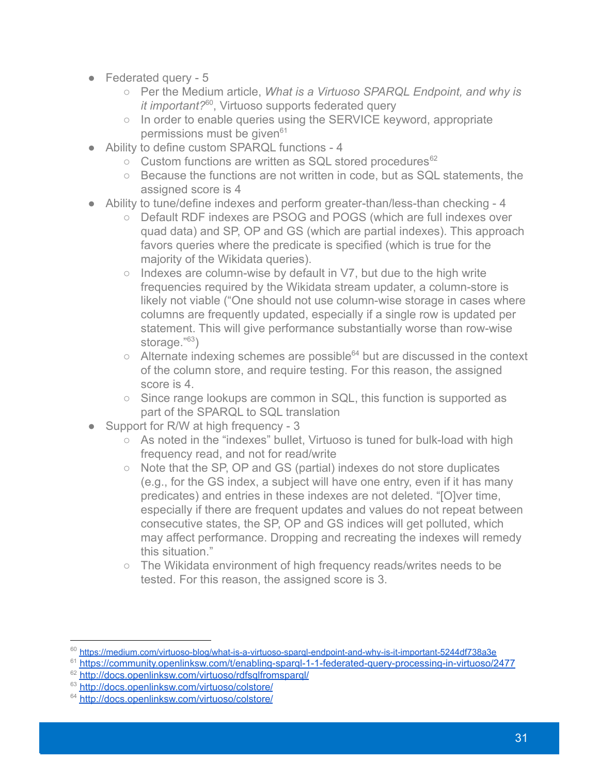- Federated query 5
	- Per the Medium article, *What is a Virtuoso SPARQL Endpoint, and why is it important?<sup>60</sup>*, Virtuoso supports federated query
	- In order to enable queries using the SERVICE keyword, appropriate permissions must be given $61$
- Ability to define custom SPARQL functions 4
	- Custom functions are written as SQL stored procedures<sup>62</sup>
	- Because the functions are not written in code, but as SQL statements, the assigned score is 4
- Ability to tune/define indexes and perform greater-than/less-than checking 4
	- Default RDF indexes are PSOG and POGS (which are full indexes over quad data) and SP, OP and GS (which are partial indexes). This approach favors queries where the predicate is specified (which is true for the majority of the Wikidata queries).
	- $\circ$  Indexes are column-wise by default in V7, but due to the high write frequencies required by the Wikidata stream updater, a column-store is likely not viable ("One should not use column-wise storage in cases where columns are frequently updated, especially if a single row is updated per statement. This will give performance substantially worse than row-wise storage."<sup>63</sup>)
	- $\circ$  Alternate indexing schemes are possible<sup>64</sup> but are discussed in the context of the column store, and require testing. For this reason, the assigned score is 4
	- Since range lookups are common in SQL, this function is supported as part of the SPARQL to SQL translation
- Support for R/W at high frequency 3
	- As noted in the "indexes" bullet, Virtuoso is tuned for bulk-load with high frequency read, and not for read/write
	- Note that the SP, OP and GS (partial) indexes do not store duplicates (e.g., for the GS index, a subject will have one entry, even if it has many predicates) and entries in these indexes are not deleted. "[O]ver time, especially if there are frequent updates and values do not repeat between consecutive states, the SP, OP and GS indices will get polluted, which may affect performance. Dropping and recreating the indexes will remedy this situation."
	- The Wikidata environment of high frequency reads/writes needs to be tested. For this reason, the assigned score is 3.

<sup>60</sup> <https://medium.com/virtuoso-blog/what-is-a-virtuoso-sparql-endpoint-and-why-is-it-important-5244df738a3e>

<sup>&</sup>lt;sup>61</sup> https://community.openlinksw.com/t/enabling-spargl-1-1-federated-query-processing-in-virtuoso/2477

<sup>&</sup>lt;sup>62</sup> <http://docs.openlinksw.com/virtuoso/rdfsqlfromsparql/>

<sup>&</sup>lt;sup>63</sup> <http://docs.openlinksw.com/virtuoso/colstore/>

<sup>&</sup>lt;sup>64</sup> <http://docs.openlinksw.com/virtuoso/colstore/>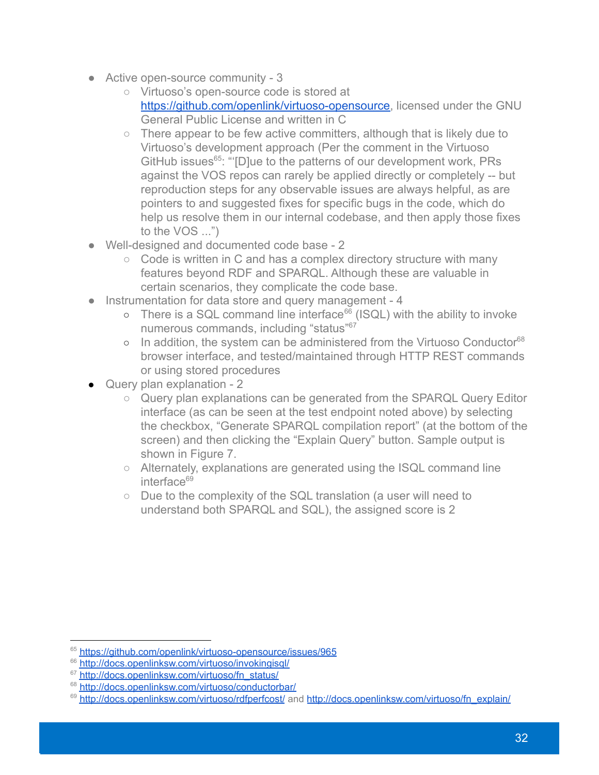- Active open-source community 3
	- Virtuoso's open-source code is stored at [https://github.com/openlink/virtuoso-opensource,](https://github.com/openlink/virtuoso-opensource) licensed under the GNU General Public License and written in C
	- There appear to be few active committers, although that is likely due to Virtuoso's development approach (Per the comment in the Virtuoso GitHub issues<sup>65</sup>: "[D]ue to the patterns of our development work, PRs against the VOS repos can rarely be applied directly or completely -- but reproduction steps for any observable issues are always helpful, as are pointers to and suggested fixes for specific bugs in the code, which do help us resolve them in our internal codebase, and then apply those fixes to the VOS ...")
- Well-designed and documented code base 2
	- Code is written in C and has a complex directory structure with many features beyond RDF and SPARQL. Although these are valuable in certain scenarios, they complicate the code base.
- Instrumentation for data store and query management 4
	- There is a SQL command line interface<sup>66</sup> (ISQL) with the ability to invoke numerous commands, including "status"<sup>67</sup>
	- o In addition, the system can be administered from the Virtuoso Conductor<sup>68</sup> browser interface, and tested/maintained through HTTP REST commands or using stored procedures
- Query plan explanation 2
	- Query plan explanations can be generated from the SPARQL Query Editor interface (as can be seen at the test endpoint noted above) by selecting the checkbox, "Generate SPARQL compilation report" (at the bottom of the screen) and then clicking the "Explain Query" button. Sample output is shown in Figure 7.
	- Alternately, explanations are generated using the ISQL command line  $interface<sup>69</sup>$
	- Due to the complexity of the SQL translation (a user will need to understand both SPARQL and SQL), the assigned score is 2

<sup>&</sup>lt;sup>65</sup> <https://github.com/openlink/virtuoso-opensource/issues/965>

<sup>&</sup>lt;sup>66</sup> <http://docs.openlinksw.com/virtuoso/invokingisql/>

<sup>&</sup>lt;sup>67</sup> [http://docs.openlinksw.com/virtuoso/fn\\_status/](http://docs.openlinksw.com/virtuoso/fn_status/)

<sup>&</sup>lt;sup>68</sup> <http://docs.openlinksw.com/virtuoso/conductorbar/>

<sup>&</sup>lt;sup>69</sup> <http://docs.openlinksw.com/virtuoso/rdfperfcost/> and [http://docs.openlinksw.com/virtuoso/fn\\_explain/](http://docs.openlinksw.com/virtuoso/fn_explain/)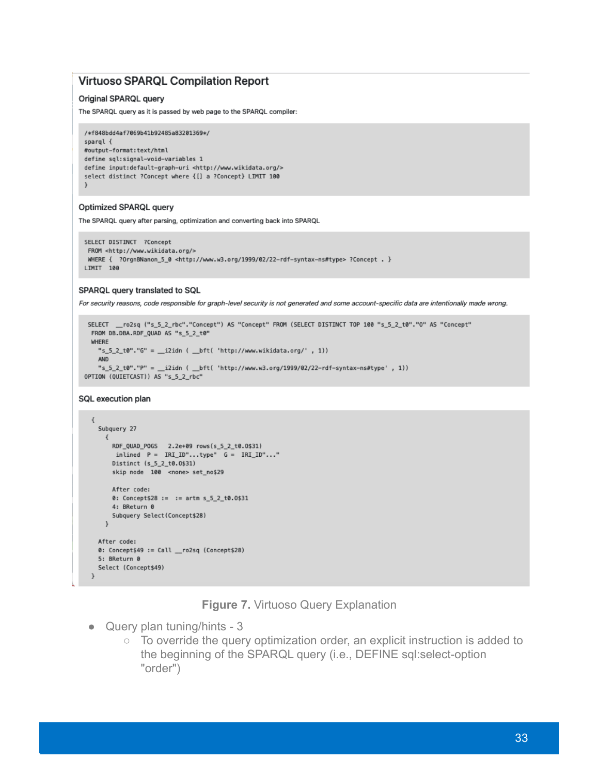#### **Virtuoso SPARQL Compilation Report**

#### Original SPARQL query

The SPARQL query as it is passed by web page to the SPARQL compiler:

/\*f848bdd4af7069b41b92485a83201369\*/ sparql { #output-format:text/html define sql:signal-void-variables 1 define input:default-graph-uri <http://www.wikidata.org/> select distinct ?Concept where {[] a ?Concept} LIMIT 100

#### Optimized SPARQL query

The SPARQL query after parsing, optimization and converting back into SPARQL

```
SELECT DISTINCT ?Concept
FROM <http://www.wikidata.org/>
WHERE { ?OrgnBNanon_5_0 <http://www.w3.org/1999/02/22-rdf-syntax-ns#type> ?Concept . }
LIMIT 100
```
#### SPARQL query translated to SQL

For security reasons, code responsible for graph-level security is not generated and some account-specific data are intentionally made wrong.

```
SELECT __ ro2sq ("s_5_2_rbc"."Concept") AS "Concept" FROM (SELECT DISTINCT TOP 100 "s_5_2_t0"."O" AS "Concept"
 FROM DB.DBA.RDF_QUAD AS "s_5_2_t0"
 WHERE
   "s_5_2_t0"."G" = __i2idn ( __bft( 'http://www.wikidata.org/', 1))
   AND
    "s_5_2_t0"."P" = __i2idn ( __bft( 'http://www.w3.org/1999/02/22-rdf-syntax-ns#type', 1))
OPTION (QUIETCAST)) AS "s_5_2_rbc"
```
#### SQL execution plan

```
\{Subquery 27
    \left\{ \right.RDF_QUAD_POGS  2.2e+09 rows(s_5_2_t0.0$31)
      inlined P = IRIID''...type'' G = IRIID''...''Distinct (s_5_2_1t_0.0531)skip node 100 <none> set_no$29
     After code:
     0: Concept$28 := := artm s_5_2_t0.0$31
     4: BReturn 0
     Subquery Select(Concept$28)
   \rightarrowAfter code:
 0: Concept$49 := Call __ ro2sq (Concept$28)
 5: BReturn 0
 Select (Concept$49)
\overline{ }
```
**Figure 7.** Virtuoso Query Explanation

- Query plan tuning/hints 3
	- To override the query optimization order, an explicit instruction is added to the beginning of the SPARQL query (i.e., DEFINE sql:select-option "order")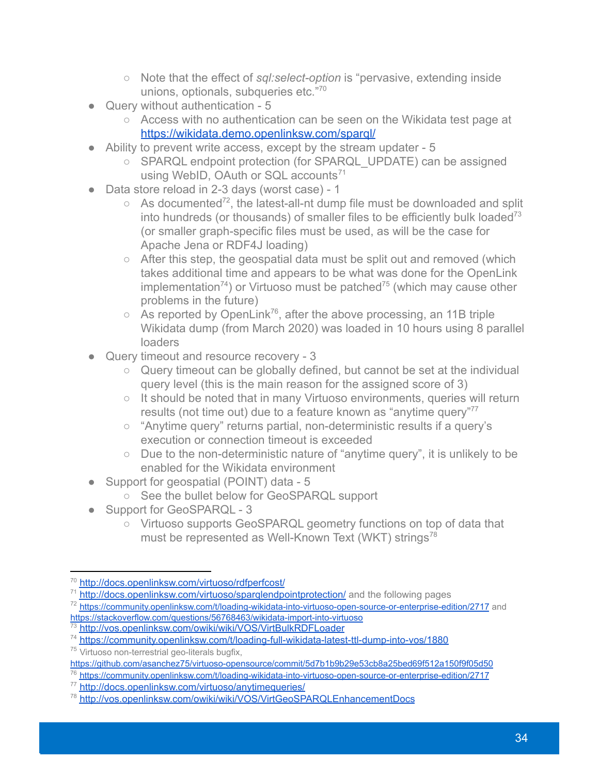- Note that the effect of *sql:select-option* is "pervasive, extending inside unions, optionals, subqueries etc."<sup>70</sup>
- Query without authentication 5
	- Access with no authentication can be seen on the Wikidata test page at <https://wikidata.demo.openlinksw.com/sparql/>
- Ability to prevent write access, except by the stream updater 5
	- SPARQL endpoint protection (for SPARQL UPDATE) can be assigned using WebID, OAuth or SQL accounts<sup>71</sup>
- Data store reload in 2-3 days (worst case) 1
	- $\circ$  As documented<sup>72</sup>, the latest-all-nt dump file must be downloaded and split into hundreds (or thousands) of smaller files to be efficiently bulk loaded<sup>73</sup> (or smaller graph-specific files must be used, as will be the case for Apache Jena or RDF4J loading)
	- After this step, the geospatial data must be split out and removed (which takes additional time and appears to be what was done for the OpenLink implementation<sup>74</sup>) or Virtuoso must be patched<sup>75</sup> (which may cause other problems in the future)
	- $\circ$  As reported by OpenLink<sup>76</sup>, after the above processing, an 11B triple Wikidata dump (from March 2020) was loaded in 10 hours using 8 parallel loaders
- Query timeout and resource recovery 3
	- Query timeout can be globally defined, but cannot be set at the individual query level (this is the main reason for the assigned score of 3)
	- It should be noted that in many Virtuoso environments, queries will return results (not time out) due to a feature known as "anytime query"<sup>77</sup>
	- "Anytime query" returns partial, non-deterministic results if a query's execution or connection timeout is exceeded
	- Due to the non-deterministic nature of "anytime query", it is unlikely to be enabled for the Wikidata environment
- Support for geospatial (POINT) data 5
	- See the bullet below for GeoSPARQL support
- Support for GeoSPARQL 3
	- Virtuoso supports GeoSPARQL geometry functions on top of data that must be represented as Well-Known Text (WKT) strings<sup>78</sup>

<sup>70</sup> <http://docs.openlinksw.com/virtuoso/rdfperfcost/>

<sup>&</sup>lt;sup>71</sup> <http://docs.openlinksw.com/virtuoso/sparqlendpointprotection/> and the following pages

<sup>72</sup> <https://community.openlinksw.com/t/loading-wikidata-into-virtuoso-open-source-or-enterprise-edition/2717> and <https://stackoverflow.com/questions/56768463/wikidata-import-into-virtuoso>

<sup>&</sup>lt;sup>73</sup> <http://vos.openlinksw.com/owiki/wiki/VOS/VirtBulkRDFLoader>

<sup>74</sup> <https://community.openlinksw.com/t/loading-full-wikidata-latest-ttl-dump-into-vos/1880>

<sup>&</sup>lt;sup>75</sup> Virtuoso non-terrestrial geo-literals bugfix,

<https://github.com/asanchez75/virtuoso-opensource/commit/5d7b1b9b29e53cb8a25bed69f512a150f9f05d50>

<sup>76</sup> <https://community.openlinksw.com/t/loading-wikidata-into-virtuoso-open-source-or-enterprise-edition/2717>

<sup>77</sup> <http://docs.openlinksw.com/virtuoso/anytimequeries/>

<sup>78</sup> <http://vos.openlinksw.com/owiki/wiki/VOS/VirtGeoSPARQLEnhancementDocs>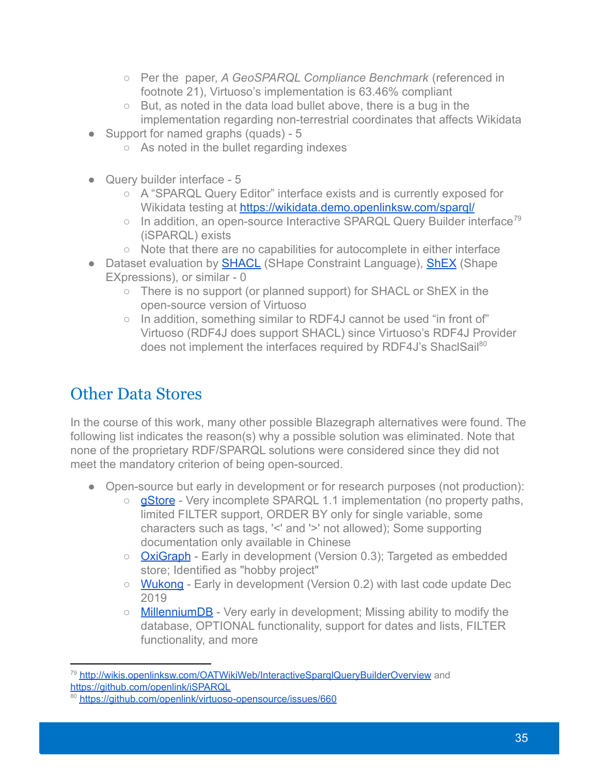- Per the paper, *A GeoSPARQL Compliance Benchmark* (referenced in footnote 21), Virtuoso's implementation is 63.46% compliant
- But, as noted in the data load bullet above, there is a bug in the implementation regarding non-terrestrial coordinates that affects Wikidata
- Support for named graphs (quads) 5
	- As noted in the bullet regarding indexes
- Query builder interface 5
	- A "SPARQL Query Editor" interface exists and is currently exposed for Wikidata testing at <https://wikidata.demo.openlinksw.com/sparql/>
	- $\circ$  In addition, an open-source Interactive SPARQL Query Builder interface<sup>79</sup> (iSPARQL) exists
	- Note that there are no capabilities for autocomplete in either interface
- Dataset evaluation by **[SHACL](https://www.w3.org/TR/shacl/)** (SHape Constraint Language), **[ShEX](https://shex.io/)** (Shape EXpressions), or similar - 0
	- There is no support (or planned support) for SHACL or ShEX in the open-source version of Virtuoso
	- In addition, something similar to RDF4J cannot be used "in front of" Virtuoso (RDF4J does support SHACL) since Virtuoso's RDF4J Provider does not implement the interfaces required by RDF4J's ShaclSail<sup>80</sup>

# <span id="page-34-0"></span>Other Data Stores

In the course of this work, many other possible Blazegraph alternatives were found. The following list indicates the reason(s) why a possible solution was eliminated. Note that none of the proprietary RDF/SPARQL solutions were considered since they did not meet the mandatory criterion of being open-sourced.

- Open-source but early in development or for research purposes (not production):
	- **[gStore](https://github.com/pkumod/gStore)** Very incomplete SPARQL 1.1 implementation (no property paths, limited FILTER support, ORDER BY only for single variable, some characters such as tags, '<' and '>' not allowed); Some supporting documentation only available in Chinese
	- [OxiGraph](https://github.com/oxigraph/oxigraph) Early in development (Version 0.3); Targeted as embedded store; Identified as "hobby project"
	- [Wukong](https://github.com/SJTU-IPADS/wukong) Early in development (Version 0.2) with last code update Dec 2019
	- [MillenniumDB](https://github.com/MillenniumDB/MillenniumDB) Very early in development; Missing ability to modify the database, OPTIONAL functionality, support for dates and lists, FILTER functionality, and more

<sup>&</sup>lt;sup>79</sup> http://wikis.openlinksw.com/OATWikiWeb/InteractiveSparglQueryBuilderOverview and <https://github.com/openlink/iSPARQL>

<sup>80</sup> <https://github.com/openlink/virtuoso-opensource/issues/660>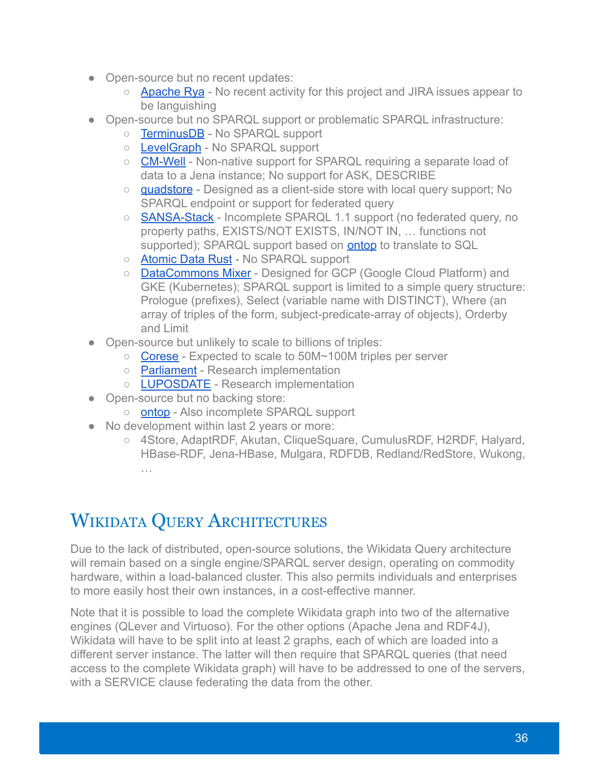- Open-source but no recent updates:
	- [Apache Rya](https://github.com/apache/rya) No recent activity for this project and JIRA issues appear to be languishing
- Open-source but no SPARQL support or problematic SPARQL infrastructure:
	- [TerminusDB](https://github.com/terminusdb/terminusdb) No SPARQL support
	- [LevelGraph](https://github.com/levelgraph/levelgraph) No SPARQL support
	- [CM-Well](https://github.com/CM-Well/CM-Well) Non-native support for SPARQL requiring a separate load of data to a Jena instance; No support for ASK, DESCRIBE
	- [quadstore](https://github.com/beautifulinteractions/node-quadstore) Designed as a client-side store with local query support; No SPARQL endpoint or support for federated query
	- **[SANSA-Stack](https://github.com/SANSA-Stack/SANSA-Stack)** Incomplete SPARQL 1.1 support (no federated query, no property paths, EXISTS/NOT EXISTS, IN/NOT IN, … functions not supported); SPARQL support based on [ontop](https://github.com/ontop/ontop) to translate to SQL
	- [Atomic Data Rust](https://github.com/joepio/atomic-data-rust) No SPARQL support
	- [DataCommons Mixer](https://github.com/datacommonsorg/mixer) Designed for GCP (Google Cloud Platform) and GKE (Kubernetes); SPARQL support is limited to a simple query structure: Prologue (prefixes), Select (variable name with DISTINCT), Where (an array of triples of the form, subject-predicate-array of objects), Orderby and Limit
- Open-source but unlikely to scale to billions of triples:
	- [Corese](https://github.com/Wimmics/corese) Expected to scale to 50M~100M triples per server
	- [Parliament](https://github.com/SemWebCentral/parliament) Research implementation
	- [LUPOSDATE](https://github.com/luposdate/luposdate) Research implementation
- Open-source but no backing store:
	- **[ontop](https://github.com/ontop/ontop)** Also incomplete SPARQL support
- No development within last 2 years or more:
	- 4Store, AdaptRDF, Akutan, CliqueSquare, CumulusRDF, H2RDF, Halyard, HBase-RDF, Jena-HBase, Mulgara, RDFDB, Redland/RedStore, Wukong, …

# <span id="page-35-0"></span>WIKIDATA QUERY ARCHITECTURES

Due to the lack of distributed, open-source solutions, the Wikidata Query architecture will remain based on a single engine/SPARQL server design, operating on commodity hardware, within a load-balanced cluster. This also permits individuals and enterprises to more easily host their own instances, in a cost-effective manner.

Note that it is possible to load the complete Wikidata graph into two of the alternative engines (QLever and Virtuoso). For the other options (Apache Jena and RDF4J), Wikidata will have to be split into at least 2 graphs, each of which are loaded into a different server instance. The latter will then require that SPARQL queries (that need access to the complete Wikidata graph) will have to be addressed to one of the servers, with a SERVICE clause federating the data from the other.